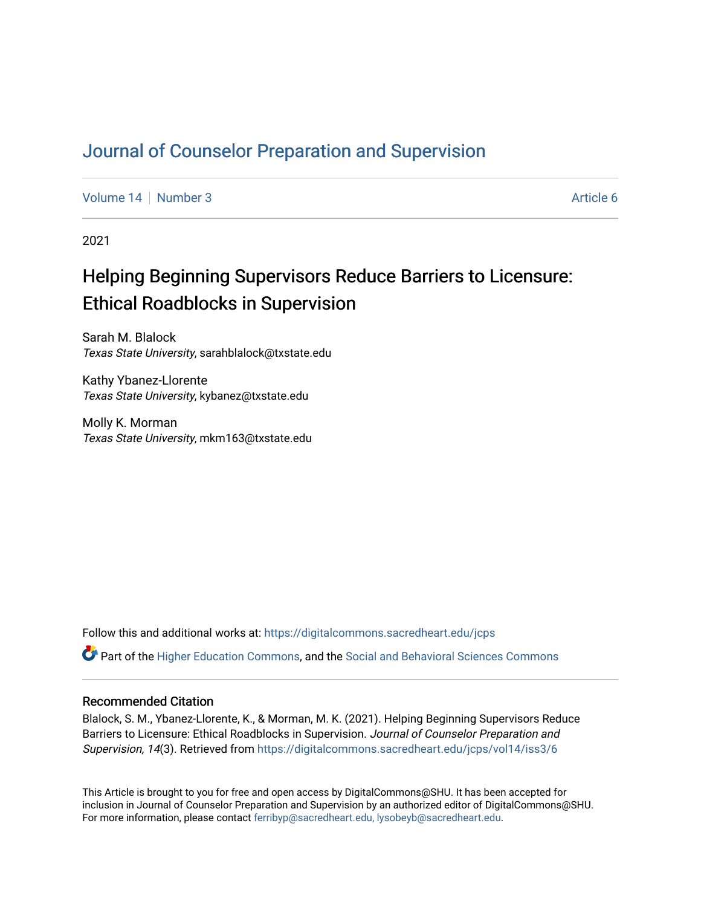# [Journal of Counselor Preparation and Supervision](https://digitalcommons.sacredheart.edu/jcps)

[Volume 14](https://digitalcommons.sacredheart.edu/jcps/vol14) | [Number 3](https://digitalcommons.sacredheart.edu/jcps/vol14/iss3) Article 6

2021

# Helping Beginning Supervisors Reduce Barriers to Licensure: Ethical Roadblocks in Supervision

Sarah M. Blalock Texas State University, sarahblalock@txstate.edu

Kathy Ybanez-Llorente Texas State University, kybanez@txstate.edu

Molly K. Morman Texas State University, mkm163@txstate.edu

Follow this and additional works at: [https://digitalcommons.sacredheart.edu/jcps](https://digitalcommons.sacredheart.edu/jcps?utm_source=digitalcommons.sacredheart.edu%2Fjcps%2Fvol14%2Fiss3%2F6&utm_medium=PDF&utm_campaign=PDFCoverPages) 

Part of the [Higher Education Commons,](http://network.bepress.com/hgg/discipline/1245?utm_source=digitalcommons.sacredheart.edu%2Fjcps%2Fvol14%2Fiss3%2F6&utm_medium=PDF&utm_campaign=PDFCoverPages) and the [Social and Behavioral Sciences Commons](http://network.bepress.com/hgg/discipline/316?utm_source=digitalcommons.sacredheart.edu%2Fjcps%2Fvol14%2Fiss3%2F6&utm_medium=PDF&utm_campaign=PDFCoverPages)

## Recommended Citation

Blalock, S. M., Ybanez-Llorente, K., & Morman, M. K. (2021). Helping Beginning Supervisors Reduce Barriers to Licensure: Ethical Roadblocks in Supervision. Journal of Counselor Preparation and Supervision, 14(3). Retrieved from [https://digitalcommons.sacredheart.edu/jcps/vol14/iss3/6](https://digitalcommons.sacredheart.edu/jcps/vol14/iss3/6?utm_source=digitalcommons.sacredheart.edu%2Fjcps%2Fvol14%2Fiss3%2F6&utm_medium=PDF&utm_campaign=PDFCoverPages)

This Article is brought to you for free and open access by DigitalCommons@SHU. It has been accepted for inclusion in Journal of Counselor Preparation and Supervision by an authorized editor of DigitalCommons@SHU. For more information, please contact [ferribyp@sacredheart.edu, lysobeyb@sacredheart.edu.](mailto:ferribyp@sacredheart.edu,%20lysobeyb@sacredheart.edu)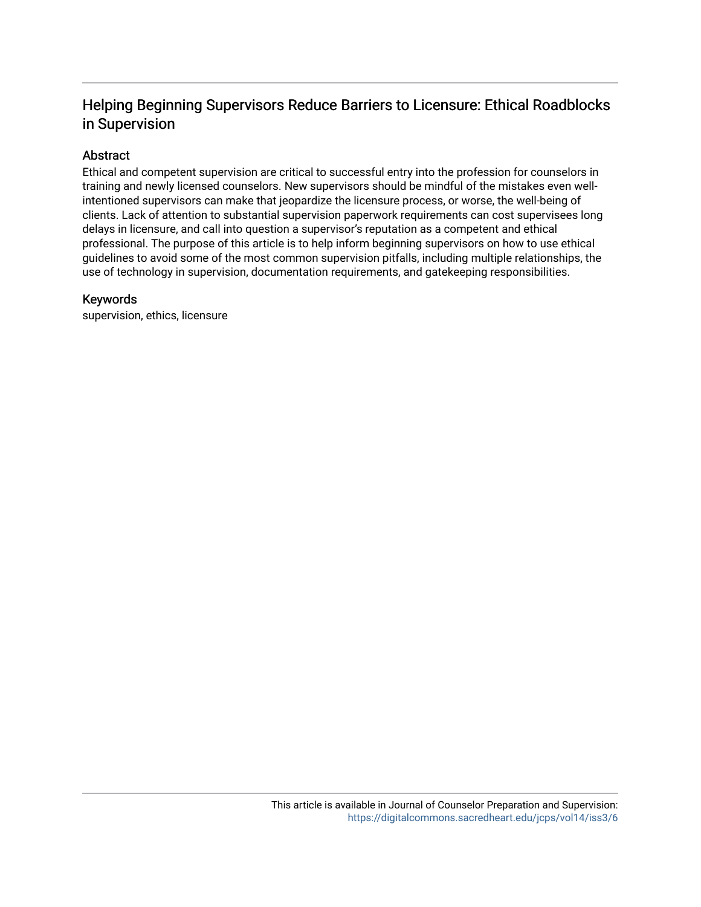# Helping Beginning Supervisors Reduce Barriers to Licensure: Ethical Roadblocks in Supervision

# Abstract

Ethical and competent supervision are critical to successful entry into the profession for counselors in training and newly licensed counselors. New supervisors should be mindful of the mistakes even wellintentioned supervisors can make that jeopardize the licensure process, or worse, the well-being of clients. Lack of attention to substantial supervision paperwork requirements can cost supervisees long delays in licensure, and call into question a supervisor's reputation as a competent and ethical professional. The purpose of this article is to help inform beginning supervisors on how to use ethical guidelines to avoid some of the most common supervision pitfalls, including multiple relationships, the use of technology in supervision, documentation requirements, and gatekeeping responsibilities.

# Keywords

supervision, ethics, licensure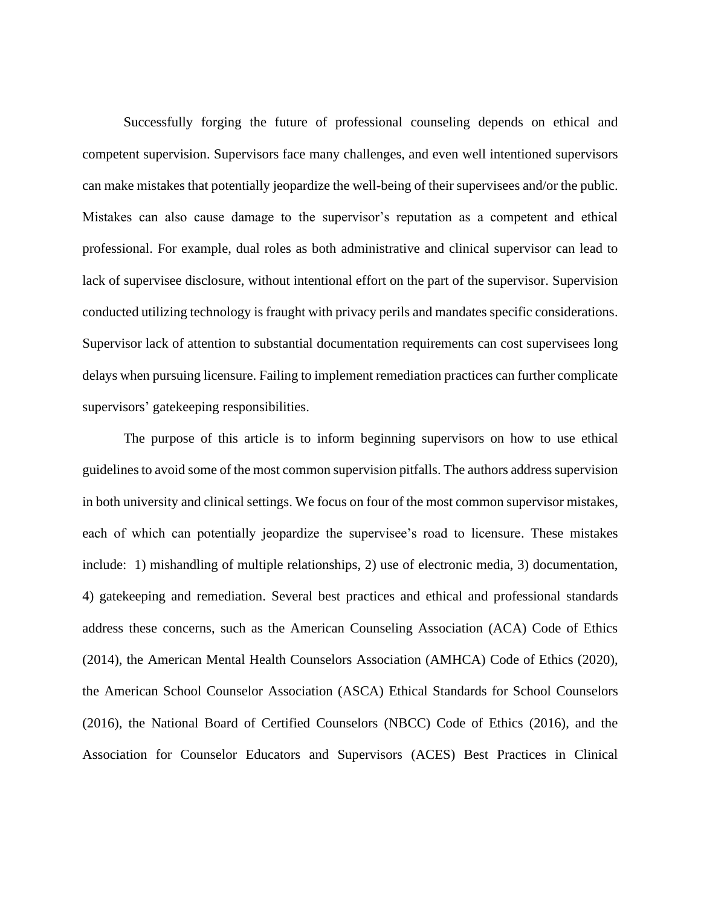Successfully forging the future of professional counseling depends on ethical and competent supervision. Supervisors face many challenges, and even well intentioned supervisors can make mistakes that potentially jeopardize the well-being of their supervisees and/or the public. Mistakes can also cause damage to the supervisor's reputation as a competent and ethical professional. For example, dual roles as both administrative and clinical supervisor can lead to lack of supervisee disclosure, without intentional effort on the part of the supervisor. Supervision conducted utilizing technology is fraught with privacy perils and mandates specific considerations. Supervisor lack of attention to substantial documentation requirements can cost supervisees long delays when pursuing licensure. Failing to implement remediation practices can further complicate supervisors' gatekeeping responsibilities.

The purpose of this article is to inform beginning supervisors on how to use ethical guidelines to avoid some of the most common supervision pitfalls. The authors address supervision in both university and clinical settings. We focus on four of the most common supervisor mistakes, each of which can potentially jeopardize the supervisee's road to licensure. These mistakes include: 1) mishandling of multiple relationships, 2) use of electronic media, 3) documentation, 4) gatekeeping and remediation. Several best practices and ethical and professional standards address these concerns, such as the American Counseling Association (ACA) Code of Ethics (2014), the American Mental Health Counselors Association (AMHCA) Code of Ethics (2020), the American School Counselor Association (ASCA) Ethical Standards for School Counselors (2016), the National Board of Certified Counselors (NBCC) Code of Ethics (2016), and the Association for Counselor Educators and Supervisors (ACES) Best Practices in Clinical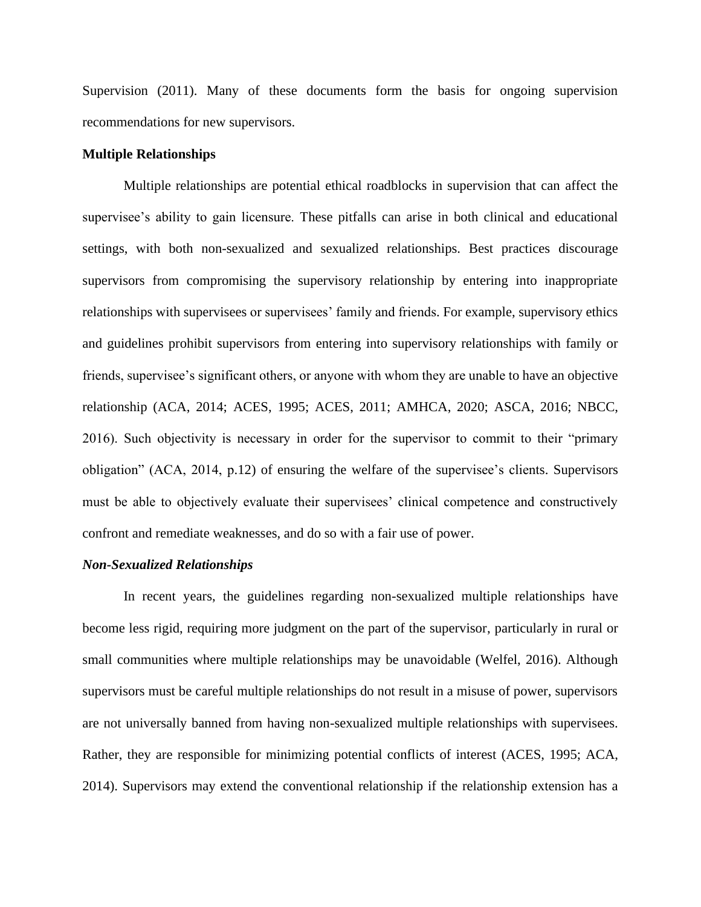Supervision (2011). Many of these documents form the basis for ongoing supervision recommendations for new supervisors.

#### **Multiple Relationships**

Multiple relationships are potential ethical roadblocks in supervision that can affect the supervisee's ability to gain licensure. These pitfalls can arise in both clinical and educational settings, with both non-sexualized and sexualized relationships. Best practices discourage supervisors from compromising the supervisory relationship by entering into inappropriate relationships with supervisees or supervisees' family and friends. For example, supervisory ethics and guidelines prohibit supervisors from entering into supervisory relationships with family or friends, supervisee's significant others, or anyone with whom they are unable to have an objective relationship (ACA, 2014; ACES, 1995; ACES, 2011; AMHCA, 2020; ASCA, 2016; NBCC, 2016). Such objectivity is necessary in order for the supervisor to commit to their "primary obligation" (ACA, 2014, p.12) of ensuring the welfare of the supervisee's clients. Supervisors must be able to objectively evaluate their supervisees' clinical competence and constructively confront and remediate weaknesses, and do so with a fair use of power.

#### *Non-Sexualized Relationships*

In recent years, the guidelines regarding non-sexualized multiple relationships have become less rigid, requiring more judgment on the part of the supervisor, particularly in rural or small communities where multiple relationships may be unavoidable (Welfel, 2016). Although supervisors must be careful multiple relationships do not result in a misuse of power, supervisors are not universally banned from having non-sexualized multiple relationships with supervisees. Rather, they are responsible for minimizing potential conflicts of interest (ACES, 1995; ACA, 2014). Supervisors may extend the conventional relationship if the relationship extension has a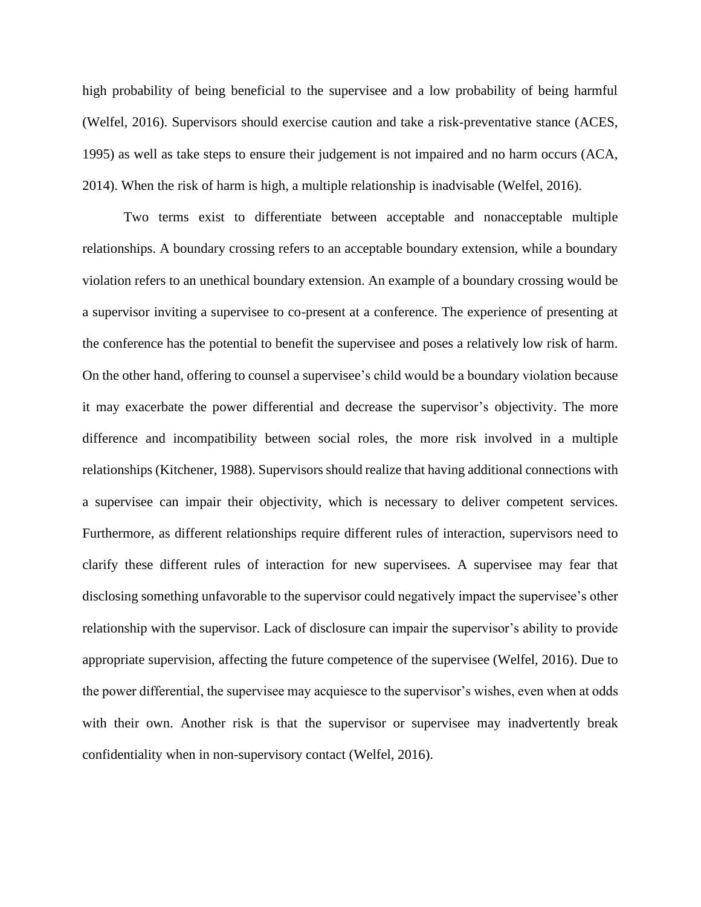high probability of being beneficial to the supervisee and a low probability of being harmful (Welfel, 2016). Supervisors should exercise caution and take a risk-preventative stance (ACES, 1995) as well as take steps to ensure their judgement is not impaired and no harm occurs (ACA, 2014). When the risk of harm is high, a multiple relationship is inadvisable (Welfel, 2016).

Two terms exist to differentiate between acceptable and nonacceptable multiple relationships. A boundary crossing refers to an acceptable boundary extension, while a boundary violation refers to an unethical boundary extension. An example of a boundary crossing would be a supervisor inviting a supervisee to co-present at a conference. The experience of presenting at the conference has the potential to benefit the supervisee and poses a relatively low risk of harm. On the other hand, offering to counsel a supervisee's child would be a boundary violation because it may exacerbate the power differential and decrease the supervisor's objectivity. The more difference and incompatibility between social roles, the more risk involved in a multiple relationships (Kitchener, 1988). Supervisors should realize that having additional connections with a supervisee can impair their objectivity, which is necessary to deliver competent services. Furthermore, as different relationships require different rules of interaction, supervisors need to clarify these different rules of interaction for new supervisees. A supervisee may fear that disclosing something unfavorable to the supervisor could negatively impact the supervisee's other relationship with the supervisor. Lack of disclosure can impair the supervisor's ability to provide appropriate supervision, affecting the future competence of the supervisee (Welfel, 2016). Due to the power differential, the supervisee may acquiesce to the supervisor's wishes, even when at odds with their own. Another risk is that the supervisor or supervisee may inadvertently break confidentiality when in non-supervisory contact (Welfel, 2016).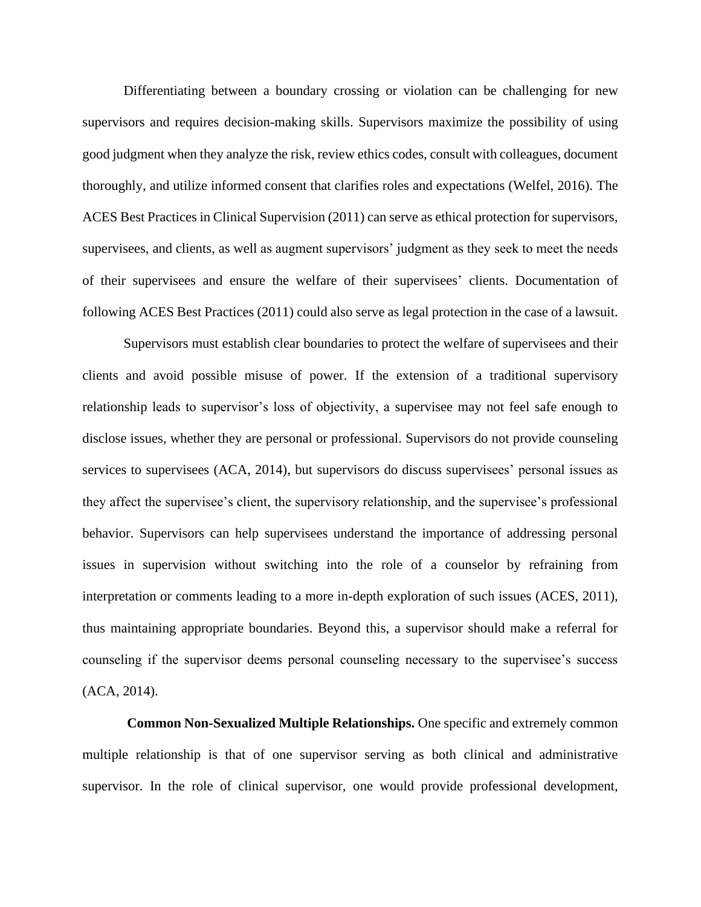Differentiating between a boundary crossing or violation can be challenging for new supervisors and requires decision-making skills. Supervisors maximize the possibility of using good judgment when they analyze the risk, review ethics codes, consult with colleagues, document thoroughly, and utilize informed consent that clarifies roles and expectations (Welfel, 2016). The ACES Best Practices in Clinical Supervision (2011) can serve as ethical protection for supervisors, supervisees, and clients, as well as augment supervisors' judgment as they seek to meet the needs of their supervisees and ensure the welfare of their supervisees' clients. Documentation of following ACES Best Practices (2011) could also serve as legal protection in the case of a lawsuit.

Supervisors must establish clear boundaries to protect the welfare of supervisees and their clients and avoid possible misuse of power. If the extension of a traditional supervisory relationship leads to supervisor's loss of objectivity, a supervisee may not feel safe enough to disclose issues, whether they are personal or professional. Supervisors do not provide counseling services to supervisees (ACA, 2014), but supervisors do discuss supervisees' personal issues as they affect the supervisee's client, the supervisory relationship, and the supervisee's professional behavior. Supervisors can help supervisees understand the importance of addressing personal issues in supervision without switching into the role of a counselor by refraining from interpretation or comments leading to a more in-depth exploration of such issues (ACES, 2011), thus maintaining appropriate boundaries. Beyond this, a supervisor should make a referral for counseling if the supervisor deems personal counseling necessary to the supervisee's success (ACA, 2014).

**Common Non-Sexualized Multiple Relationships.** One specific and extremely common multiple relationship is that of one supervisor serving as both clinical and administrative supervisor. In the role of clinical supervisor, one would provide professional development,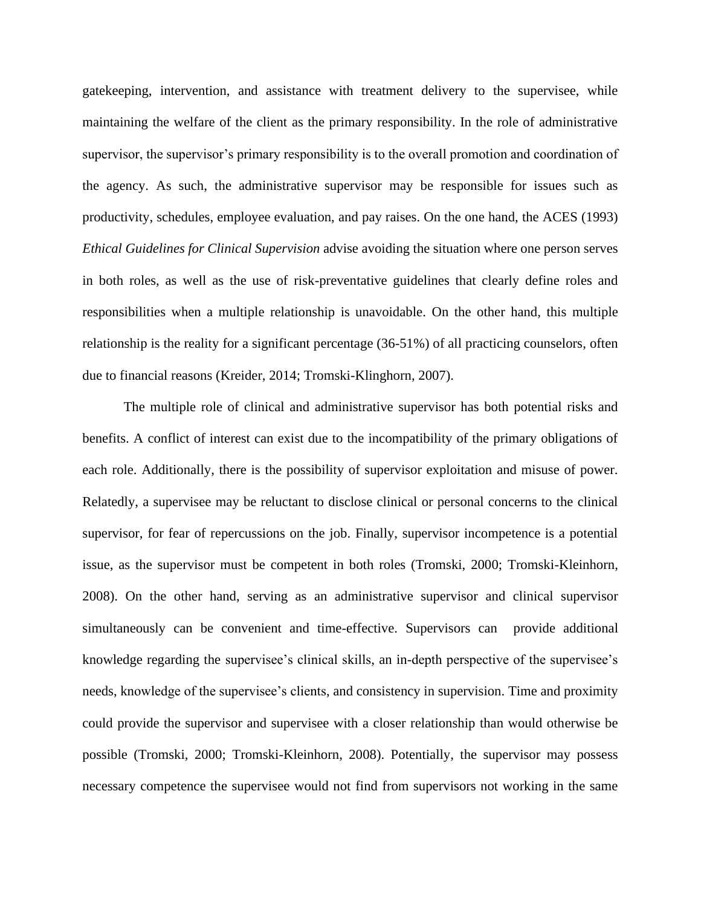gatekeeping, intervention, and assistance with treatment delivery to the supervisee, while maintaining the welfare of the client as the primary responsibility. In the role of administrative supervisor, the supervisor's primary responsibility is to the overall promotion and coordination of the agency. As such, the administrative supervisor may be responsible for issues such as productivity, schedules, employee evaluation, and pay raises. On the one hand, the ACES (1993) *Ethical Guidelines for Clinical Supervision* advise avoiding the situation where one person serves in both roles, as well as the use of risk-preventative guidelines that clearly define roles and responsibilities when a multiple relationship is unavoidable. On the other hand, this multiple relationship is the reality for a significant percentage (36-51%) of all practicing counselors, often due to financial reasons (Kreider, 2014; Tromski-Klinghorn, 2007).

The multiple role of clinical and administrative supervisor has both potential risks and benefits. A conflict of interest can exist due to the incompatibility of the primary obligations of each role. Additionally, there is the possibility of supervisor exploitation and misuse of power. Relatedly, a supervisee may be reluctant to disclose clinical or personal concerns to the clinical supervisor, for fear of repercussions on the job. Finally, supervisor incompetence is a potential issue, as the supervisor must be competent in both roles (Tromski, 2000; Tromski-Kleinhorn, 2008). On the other hand, serving as an administrative supervisor and clinical supervisor simultaneously can be convenient and time-effective. Supervisors can provide additional knowledge regarding the supervisee's clinical skills, an in-depth perspective of the supervisee's needs, knowledge of the supervisee's clients, and consistency in supervision. Time and proximity could provide the supervisor and supervisee with a closer relationship than would otherwise be possible (Tromski, 2000; Tromski-Kleinhorn, 2008). Potentially, the supervisor may possess necessary competence the supervisee would not find from supervisors not working in the same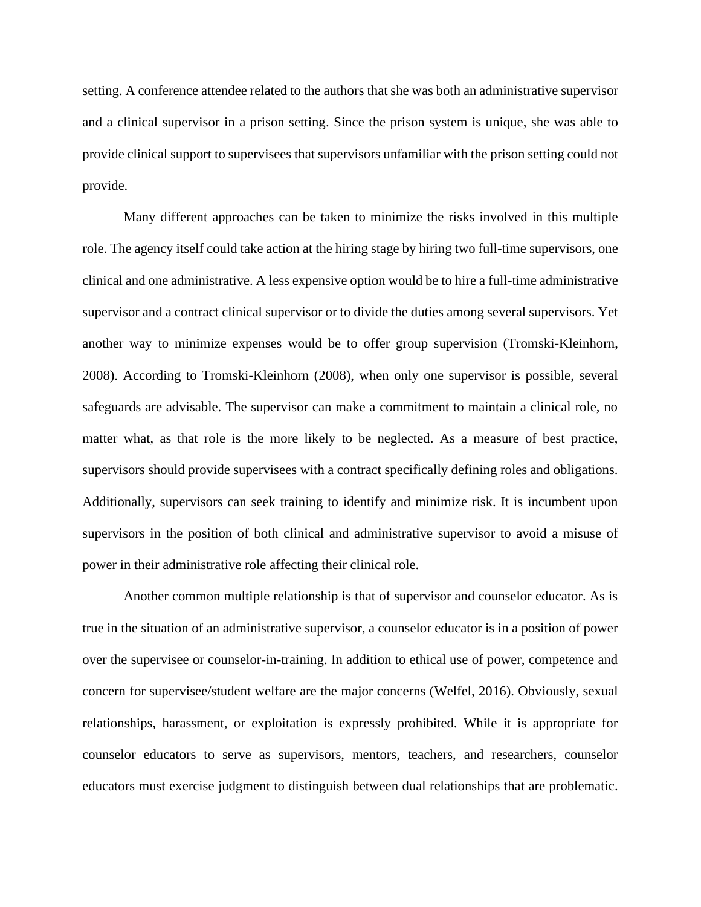setting. A conference attendee related to the authors that she was both an administrative supervisor and a clinical supervisor in a prison setting. Since the prison system is unique, she was able to provide clinical support to supervisees that supervisors unfamiliar with the prison setting could not provide.

Many different approaches can be taken to minimize the risks involved in this multiple role. The agency itself could take action at the hiring stage by hiring two full-time supervisors, one clinical and one administrative. A less expensive option would be to hire a full-time administrative supervisor and a contract clinical supervisor or to divide the duties among several supervisors. Yet another way to minimize expenses would be to offer group supervision (Tromski-Kleinhorn, 2008). According to Tromski-Kleinhorn (2008), when only one supervisor is possible, several safeguards are advisable. The supervisor can make a commitment to maintain a clinical role, no matter what, as that role is the more likely to be neglected. As a measure of best practice, supervisors should provide supervisees with a contract specifically defining roles and obligations. Additionally, supervisors can seek training to identify and minimize risk. It is incumbent upon supervisors in the position of both clinical and administrative supervisor to avoid a misuse of power in their administrative role affecting their clinical role.

Another common multiple relationship is that of supervisor and counselor educator. As is true in the situation of an administrative supervisor, a counselor educator is in a position of power over the supervisee or counselor-in-training. In addition to ethical use of power, competence and concern for supervisee/student welfare are the major concerns (Welfel, 2016). Obviously, sexual relationships, harassment, or exploitation is expressly prohibited. While it is appropriate for counselor educators to serve as supervisors, mentors, teachers, and researchers, counselor educators must exercise judgment to distinguish between dual relationships that are problematic.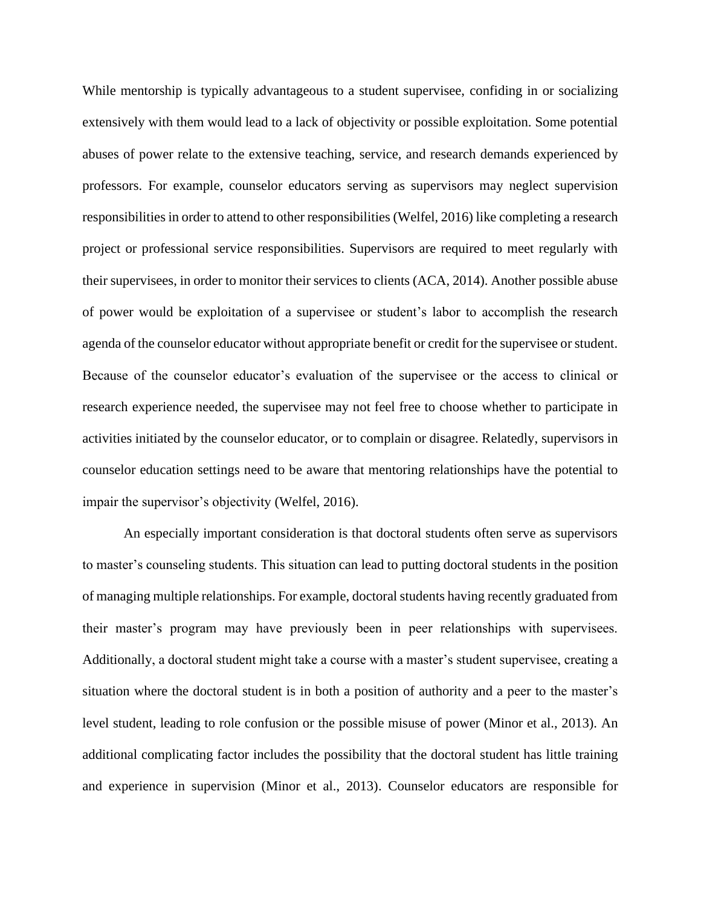While mentorship is typically advantageous to a student supervisee, confiding in or socializing extensively with them would lead to a lack of objectivity or possible exploitation. Some potential abuses of power relate to the extensive teaching, service, and research demands experienced by professors. For example, counselor educators serving as supervisors may neglect supervision responsibilities in order to attend to other responsibilities (Welfel, 2016) like completing a research project or professional service responsibilities. Supervisors are required to meet regularly with their supervisees, in order to monitor their services to clients (ACA, 2014). Another possible abuse of power would be exploitation of a supervisee or student's labor to accomplish the research agenda of the counselor educator without appropriate benefit or credit for the supervisee or student. Because of the counselor educator's evaluation of the supervisee or the access to clinical or research experience needed, the supervisee may not feel free to choose whether to participate in activities initiated by the counselor educator, or to complain or disagree. Relatedly, supervisors in counselor education settings need to be aware that mentoring relationships have the potential to impair the supervisor's objectivity (Welfel, 2016).

An especially important consideration is that doctoral students often serve as supervisors to master's counseling students. This situation can lead to putting doctoral students in the position of managing multiple relationships. For example, doctoral students having recently graduated from their master's program may have previously been in peer relationships with supervisees. Additionally, a doctoral student might take a course with a master's student supervisee, creating a situation where the doctoral student is in both a position of authority and a peer to the master's level student, leading to role confusion or the possible misuse of power (Minor et al., 2013). An additional complicating factor includes the possibility that the doctoral student has little training and experience in supervision (Minor et al., 2013). Counselor educators are responsible for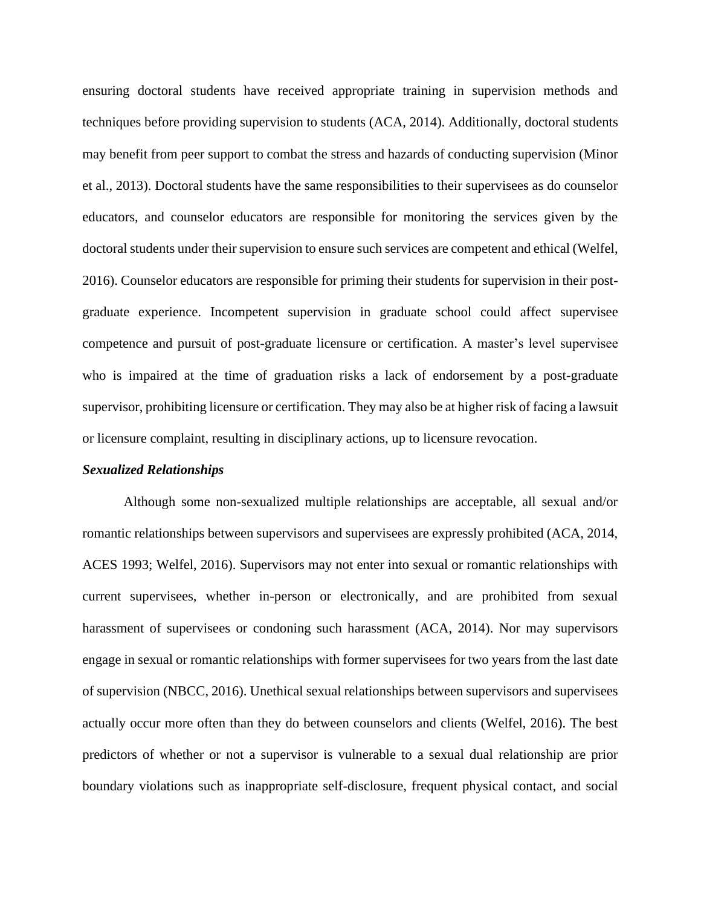ensuring doctoral students have received appropriate training in supervision methods and techniques before providing supervision to students (ACA, 2014). Additionally, doctoral students may benefit from peer support to combat the stress and hazards of conducting supervision (Minor et al., 2013). Doctoral students have the same responsibilities to their supervisees as do counselor educators, and counselor educators are responsible for monitoring the services given by the doctoral students under their supervision to ensure such services are competent and ethical (Welfel, 2016). Counselor educators are responsible for priming their students for supervision in their postgraduate experience. Incompetent supervision in graduate school could affect supervisee competence and pursuit of post-graduate licensure or certification. A master's level supervisee who is impaired at the time of graduation risks a lack of endorsement by a post-graduate supervisor, prohibiting licensure or certification. They may also be at higher risk of facing a lawsuit or licensure complaint, resulting in disciplinary actions, up to licensure revocation.

#### *Sexualized Relationships*

Although some non-sexualized multiple relationships are acceptable, all sexual and/or romantic relationships between supervisors and supervisees are expressly prohibited (ACA, 2014, ACES 1993; Welfel, 2016). Supervisors may not enter into sexual or romantic relationships with current supervisees, whether in-person or electronically, and are prohibited from sexual harassment of supervisees or condoning such harassment (ACA, 2014). Nor may supervisors engage in sexual or romantic relationships with former supervisees for two years from the last date of supervision (NBCC, 2016). Unethical sexual relationships between supervisors and supervisees actually occur more often than they do between counselors and clients (Welfel, 2016). The best predictors of whether or not a supervisor is vulnerable to a sexual dual relationship are prior boundary violations such as inappropriate self-disclosure, frequent physical contact, and social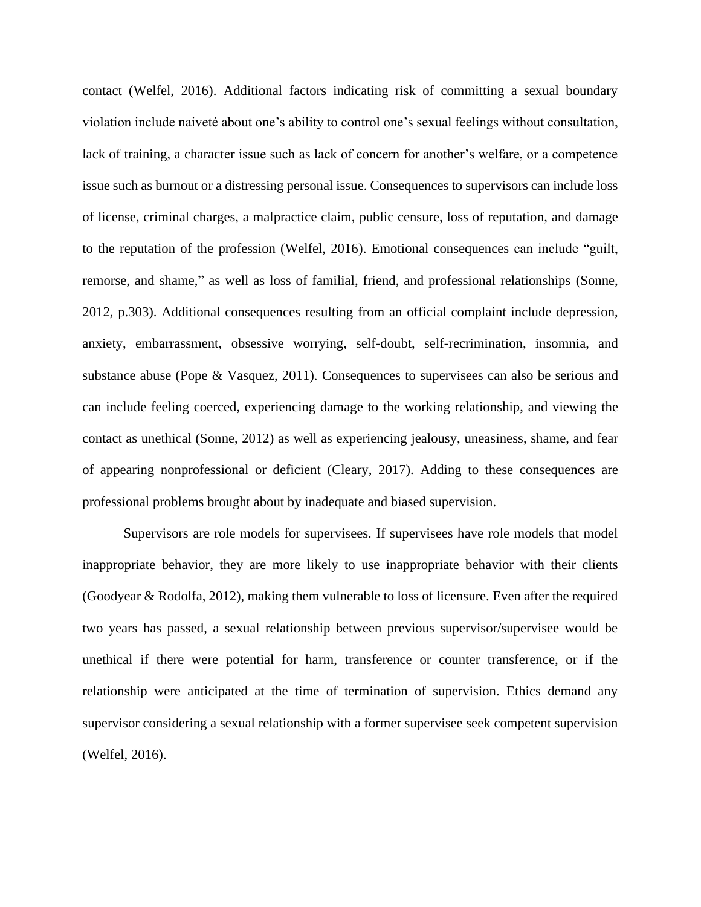contact (Welfel, 2016). Additional factors indicating risk of committing a sexual boundary violation include naiveté about one's ability to control one's sexual feelings without consultation, lack of training, a character issue such as lack of concern for another's welfare, or a competence issue such as burnout or a distressing personal issue. Consequences to supervisors can include loss of license, criminal charges, a malpractice claim, public censure, loss of reputation, and damage to the reputation of the profession (Welfel, 2016). Emotional consequences can include "guilt, remorse, and shame," as well as loss of familial, friend, and professional relationships (Sonne, 2012, p.303). Additional consequences resulting from an official complaint include depression, anxiety, embarrassment, obsessive worrying, self-doubt, self-recrimination, insomnia, and substance abuse (Pope & Vasquez, 2011). Consequences to supervisees can also be serious and can include feeling coerced, experiencing damage to the working relationship, and viewing the contact as unethical (Sonne, 2012) as well as experiencing jealousy, uneasiness, shame, and fear of appearing nonprofessional or deficient (Cleary, 2017). Adding to these consequences are professional problems brought about by inadequate and biased supervision.

Supervisors are role models for supervisees. If supervisees have role models that model inappropriate behavior, they are more likely to use inappropriate behavior with their clients (Goodyear & Rodolfa, 2012), making them vulnerable to loss of licensure. Even after the required two years has passed, a sexual relationship between previous supervisor/supervisee would be unethical if there were potential for harm, transference or counter transference, or if the relationship were anticipated at the time of termination of supervision. Ethics demand any supervisor considering a sexual relationship with a former supervisee seek competent supervision (Welfel, 2016).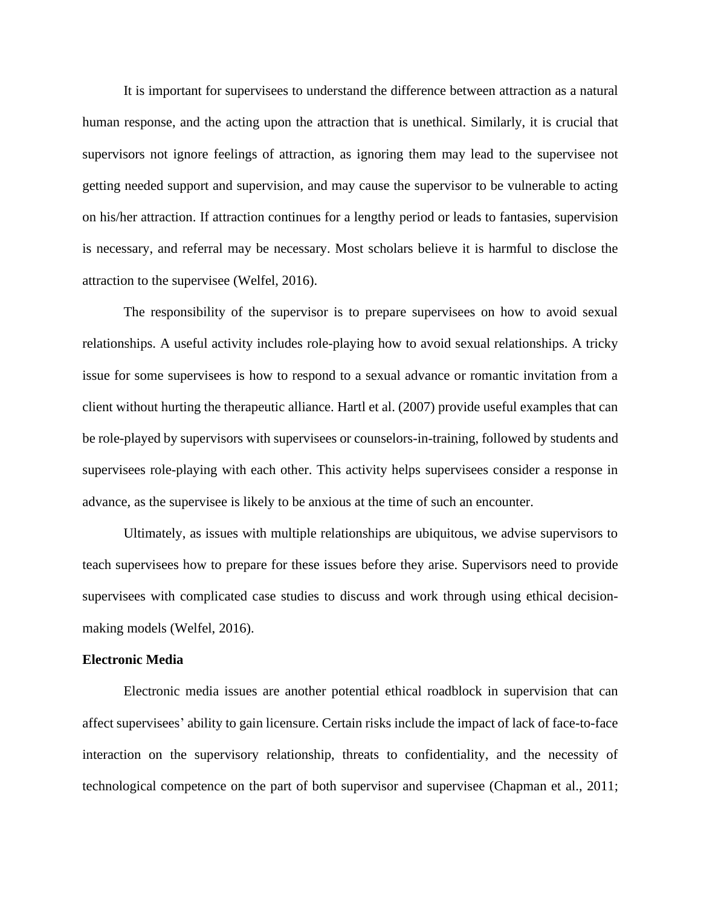It is important for supervisees to understand the difference between attraction as a natural human response, and the acting upon the attraction that is unethical. Similarly, it is crucial that supervisors not ignore feelings of attraction, as ignoring them may lead to the supervisee not getting needed support and supervision, and may cause the supervisor to be vulnerable to acting on his/her attraction. If attraction continues for a lengthy period or leads to fantasies, supervision is necessary, and referral may be necessary. Most scholars believe it is harmful to disclose the attraction to the supervisee (Welfel, 2016).

The responsibility of the supervisor is to prepare supervisees on how to avoid sexual relationships. A useful activity includes role-playing how to avoid sexual relationships. A tricky issue for some supervisees is how to respond to a sexual advance or romantic invitation from a client without hurting the therapeutic alliance. Hartl et al. (2007) provide useful examples that can be role-played by supervisors with supervisees or counselors-in-training, followed by students and supervisees role-playing with each other. This activity helps supervisees consider a response in advance, as the supervisee is likely to be anxious at the time of such an encounter.

Ultimately, as issues with multiple relationships are ubiquitous, we advise supervisors to teach supervisees how to prepare for these issues before they arise. Supervisors need to provide supervisees with complicated case studies to discuss and work through using ethical decisionmaking models (Welfel, 2016).

#### **Electronic Media**

Electronic media issues are another potential ethical roadblock in supervision that can affect supervisees' ability to gain licensure. Certain risks include the impact of lack of face-to-face interaction on the supervisory relationship, threats to confidentiality, and the necessity of technological competence on the part of both supervisor and supervisee (Chapman et al., 2011;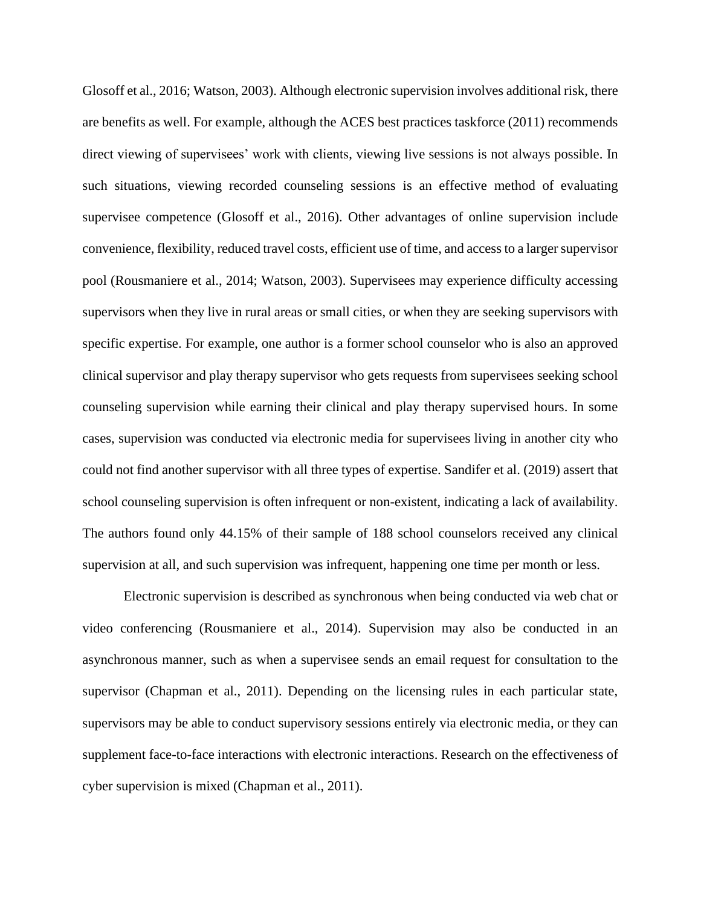Glosoff et al., 2016; Watson, 2003). Although electronic supervision involves additional risk, there are benefits as well. For example, although the ACES best practices taskforce (2011) recommends direct viewing of supervisees' work with clients, viewing live sessions is not always possible. In such situations, viewing recorded counseling sessions is an effective method of evaluating supervisee competence (Glosoff et al., 2016). Other advantages of online supervision include convenience, flexibility, reduced travel costs, efficient use of time, and access to a larger supervisor pool (Rousmaniere et al., 2014; Watson, 2003). Supervisees may experience difficulty accessing supervisors when they live in rural areas or small cities, or when they are seeking supervisors with specific expertise. For example, one author is a former school counselor who is also an approved clinical supervisor and play therapy supervisor who gets requests from supervisees seeking school counseling supervision while earning their clinical and play therapy supervised hours. In some cases, supervision was conducted via electronic media for supervisees living in another city who could not find another supervisor with all three types of expertise. Sandifer et al. (2019) assert that school counseling supervision is often infrequent or non-existent, indicating a lack of availability. The authors found only 44.15% of their sample of 188 school counselors received any clinical supervision at all, and such supervision was infrequent, happening one time per month or less.

Electronic supervision is described as synchronous when being conducted via web chat or video conferencing (Rousmaniere et al., 2014). Supervision may also be conducted in an asynchronous manner, such as when a supervisee sends an email request for consultation to the supervisor (Chapman et al., 2011). Depending on the licensing rules in each particular state, supervisors may be able to conduct supervisory sessions entirely via electronic media, or they can supplement face-to-face interactions with electronic interactions. Research on the effectiveness of cyber supervision is mixed (Chapman et al., 2011).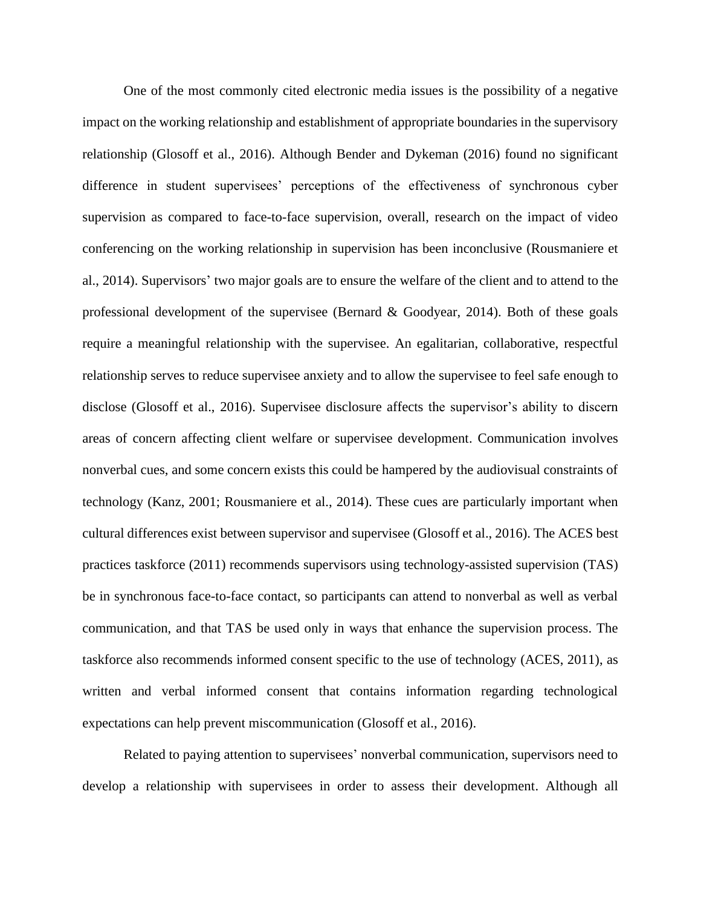One of the most commonly cited electronic media issues is the possibility of a negative impact on the working relationship and establishment of appropriate boundaries in the supervisory relationship (Glosoff et al., 2016). Although Bender and Dykeman (2016) found no significant difference in student supervisees' perceptions of the effectiveness of synchronous cyber supervision as compared to face-to-face supervision, overall, research on the impact of video conferencing on the working relationship in supervision has been inconclusive (Rousmaniere et al., 2014). Supervisors' two major goals are to ensure the welfare of the client and to attend to the professional development of the supervisee (Bernard & Goodyear, 2014). Both of these goals require a meaningful relationship with the supervisee. An egalitarian, collaborative, respectful relationship serves to reduce supervisee anxiety and to allow the supervisee to feel safe enough to disclose (Glosoff et al., 2016). Supervisee disclosure affects the supervisor's ability to discern areas of concern affecting client welfare or supervisee development. Communication involves nonverbal cues, and some concern exists this could be hampered by the audiovisual constraints of technology (Kanz, 2001; Rousmaniere et al., 2014). These cues are particularly important when cultural differences exist between supervisor and supervisee (Glosoff et al., 2016). The ACES best practices taskforce (2011) recommends supervisors using technology-assisted supervision (TAS) be in synchronous face-to-face contact, so participants can attend to nonverbal as well as verbal communication, and that TAS be used only in ways that enhance the supervision process. The taskforce also recommends informed consent specific to the use of technology (ACES, 2011), as written and verbal informed consent that contains information regarding technological expectations can help prevent miscommunication (Glosoff et al., 2016).

Related to paying attention to supervisees' nonverbal communication, supervisors need to develop a relationship with supervisees in order to assess their development. Although all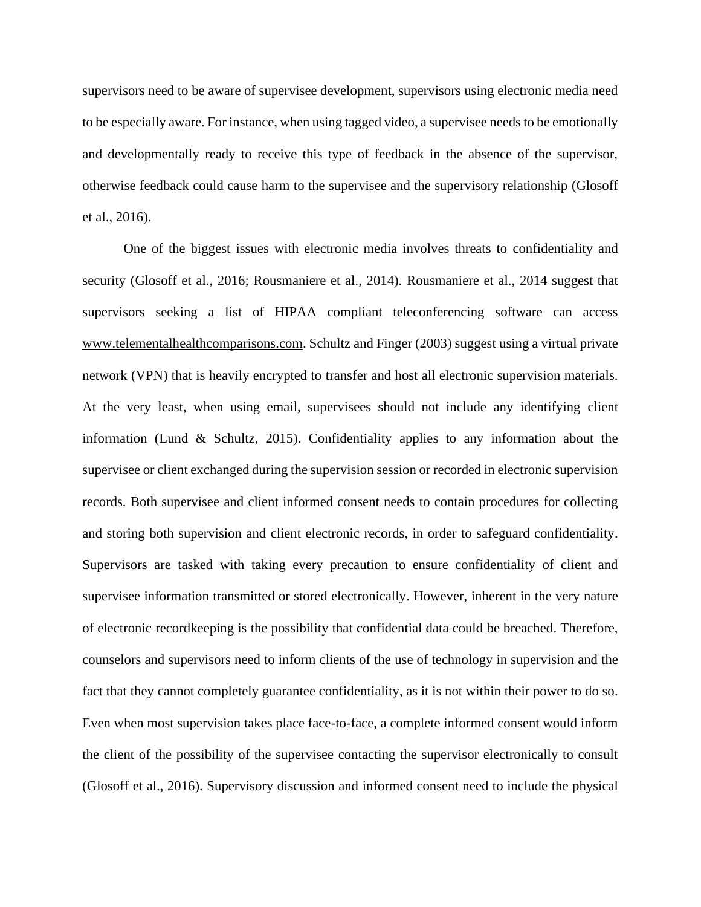supervisors need to be aware of supervisee development, supervisors using electronic media need to be especially aware. For instance, when using tagged video, a supervisee needs to be emotionally and developmentally ready to receive this type of feedback in the absence of the supervisor, otherwise feedback could cause harm to the supervisee and the supervisory relationship (Glosoff et al., 2016).

One of the biggest issues with electronic media involves threats to confidentiality and security (Glosoff et al., 2016; Rousmaniere et al., 2014). Rousmaniere et al., 2014 suggest that supervisors seeking a list of HIPAA compliant teleconferencing software can access [www.telementalhealthcomparisons.com.](http://www.telementalhealthcomparisons.com/) Schultz and Finger (2003) suggest using a virtual private network (VPN) that is heavily encrypted to transfer and host all electronic supervision materials. At the very least, when using email, supervisees should not include any identifying client information (Lund & Schultz, 2015). Confidentiality applies to any information about the supervisee or client exchanged during the supervision session or recorded in electronic supervision records. Both supervisee and client informed consent needs to contain procedures for collecting and storing both supervision and client electronic records, in order to safeguard confidentiality. Supervisors are tasked with taking every precaution to ensure confidentiality of client and supervisee information transmitted or stored electronically. However, inherent in the very nature of electronic recordkeeping is the possibility that confidential data could be breached. Therefore, counselors and supervisors need to inform clients of the use of technology in supervision and the fact that they cannot completely guarantee confidentiality, as it is not within their power to do so. Even when most supervision takes place face-to-face, a complete informed consent would inform the client of the possibility of the supervisee contacting the supervisor electronically to consult (Glosoff et al., 2016). Supervisory discussion and informed consent need to include the physical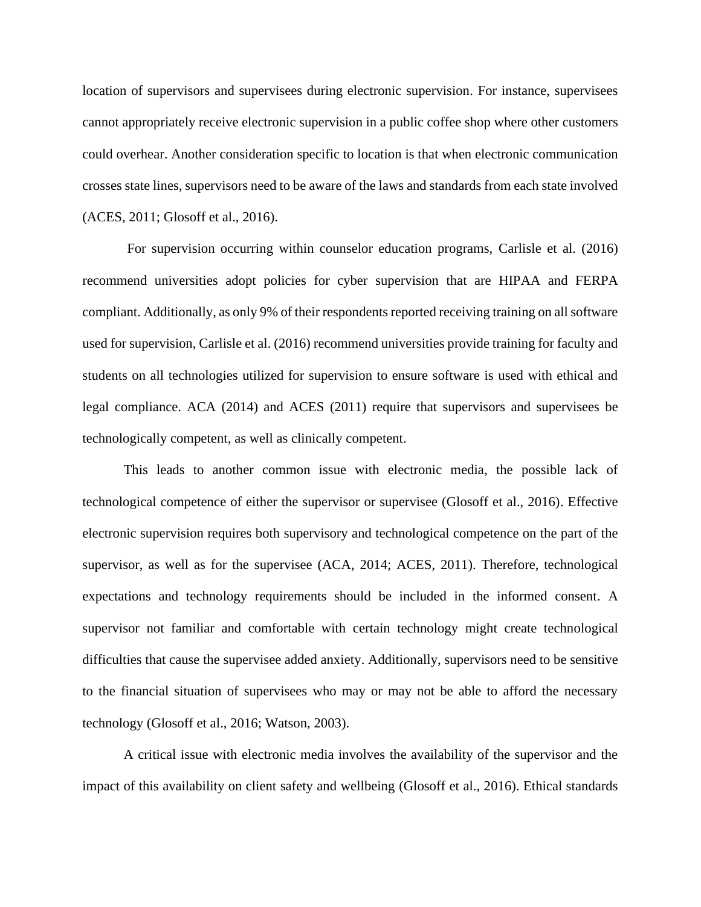location of supervisors and supervisees during electronic supervision. For instance, supervisees cannot appropriately receive electronic supervision in a public coffee shop where other customers could overhear. Another consideration specific to location is that when electronic communication crosses state lines, supervisors need to be aware of the laws and standards from each state involved (ACES, 2011; Glosoff et al., 2016).

For supervision occurring within counselor education programs, Carlisle et al. (2016) recommend universities adopt policies for cyber supervision that are HIPAA and FERPA compliant. Additionally, as only 9% of their respondents reported receiving training on all software used for supervision, Carlisle et al. (2016) recommend universities provide training for faculty and students on all technologies utilized for supervision to ensure software is used with ethical and legal compliance. ACA (2014) and ACES (2011) require that supervisors and supervisees be technologically competent, as well as clinically competent.

This leads to another common issue with electronic media, the possible lack of technological competence of either the supervisor or supervisee (Glosoff et al., 2016). Effective electronic supervision requires both supervisory and technological competence on the part of the supervisor, as well as for the supervisee (ACA, 2014; ACES, 2011). Therefore, technological expectations and technology requirements should be included in the informed consent. A supervisor not familiar and comfortable with certain technology might create technological difficulties that cause the supervisee added anxiety. Additionally, supervisors need to be sensitive to the financial situation of supervisees who may or may not be able to afford the necessary technology (Glosoff et al., 2016; Watson, 2003).

A critical issue with electronic media involves the availability of the supervisor and the impact of this availability on client safety and wellbeing (Glosoff et al., 2016). Ethical standards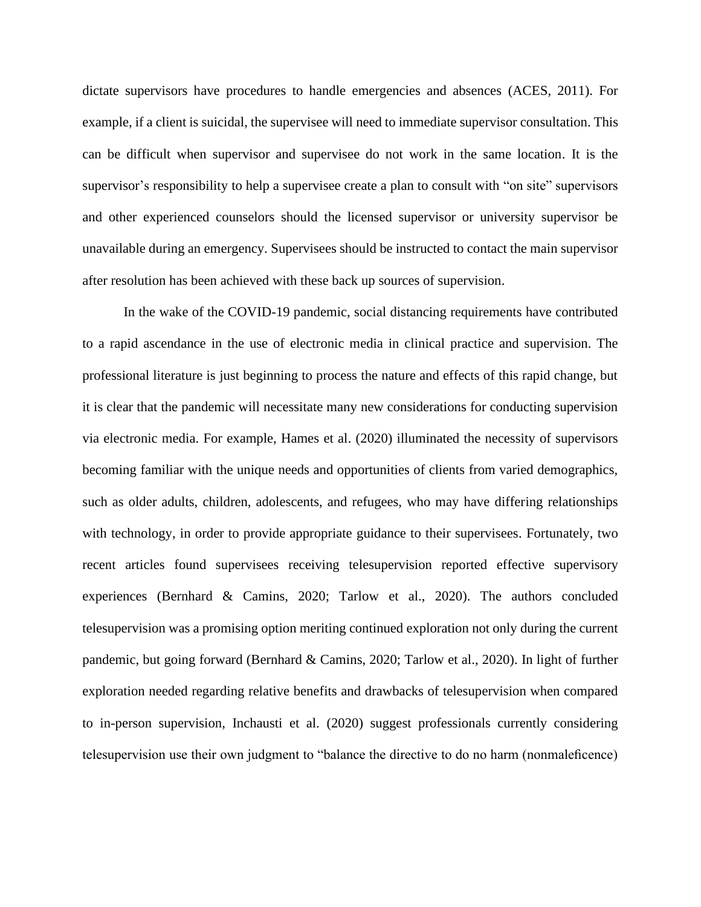dictate supervisors have procedures to handle emergencies and absences (ACES, 2011). For example, if a client is suicidal, the supervisee will need to immediate supervisor consultation. This can be difficult when supervisor and supervisee do not work in the same location. It is the supervisor's responsibility to help a supervisee create a plan to consult with "on site" supervisors and other experienced counselors should the licensed supervisor or university supervisor be unavailable during an emergency. Supervisees should be instructed to contact the main supervisor after resolution has been achieved with these back up sources of supervision.

In the wake of the COVID-19 pandemic, social distancing requirements have contributed to a rapid ascendance in the use of electronic media in clinical practice and supervision. The professional literature is just beginning to process the nature and effects of this rapid change, but it is clear that the pandemic will necessitate many new considerations for conducting supervision via electronic media. For example, Hames et al. (2020) illuminated the necessity of supervisors becoming familiar with the unique needs and opportunities of clients from varied demographics, such as older adults, children, adolescents, and refugees, who may have differing relationships with technology, in order to provide appropriate guidance to their supervisees. Fortunately, two recent articles found supervisees receiving telesupervision reported effective supervisory experiences (Bernhard & Camins, 2020; Tarlow et al., 2020). The authors concluded telesupervision was a promising option meriting continued exploration not only during the current pandemic, but going forward (Bernhard & Camins, 2020; Tarlow et al., 2020). In light of further exploration needed regarding relative benefits and drawbacks of telesupervision when compared to in-person supervision, Inchausti et al. (2020) suggest professionals currently considering telesupervision use their own judgment to "balance the directive to do no harm (nonmaleficence)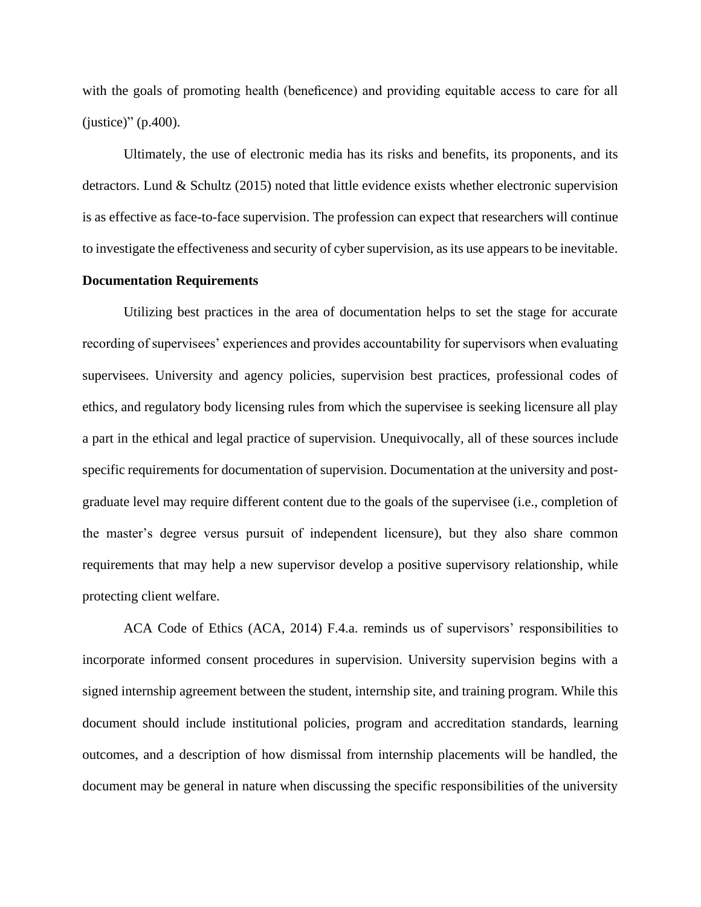with the goals of promoting health (beneficence) and providing equitable access to care for all (justice)" (p.400).

Ultimately, the use of electronic media has its risks and benefits, its proponents, and its detractors. Lund & Schultz (2015) noted that little evidence exists whether electronic supervision is as effective as face-to-face supervision. The profession can expect that researchers will continue to investigate the effectiveness and security of cyber supervision, as its use appears to be inevitable.

#### **Documentation Requirements**

Utilizing best practices in the area of documentation helps to set the stage for accurate recording of supervisees' experiences and provides accountability for supervisors when evaluating supervisees. University and agency policies, supervision best practices, professional codes of ethics, and regulatory body licensing rules from which the supervisee is seeking licensure all play a part in the ethical and legal practice of supervision. Unequivocally, all of these sources include specific requirements for documentation of supervision. Documentation at the university and postgraduate level may require different content due to the goals of the supervisee (i.e., completion of the master's degree versus pursuit of independent licensure), but they also share common requirements that may help a new supervisor develop a positive supervisory relationship, while protecting client welfare.

ACA Code of Ethics (ACA, 2014) F.4.a. reminds us of supervisors' responsibilities to incorporate informed consent procedures in supervision. University supervision begins with a signed internship agreement between the student, internship site, and training program. While this document should include institutional policies, program and accreditation standards, learning outcomes, and a description of how dismissal from internship placements will be handled, the document may be general in nature when discussing the specific responsibilities of the university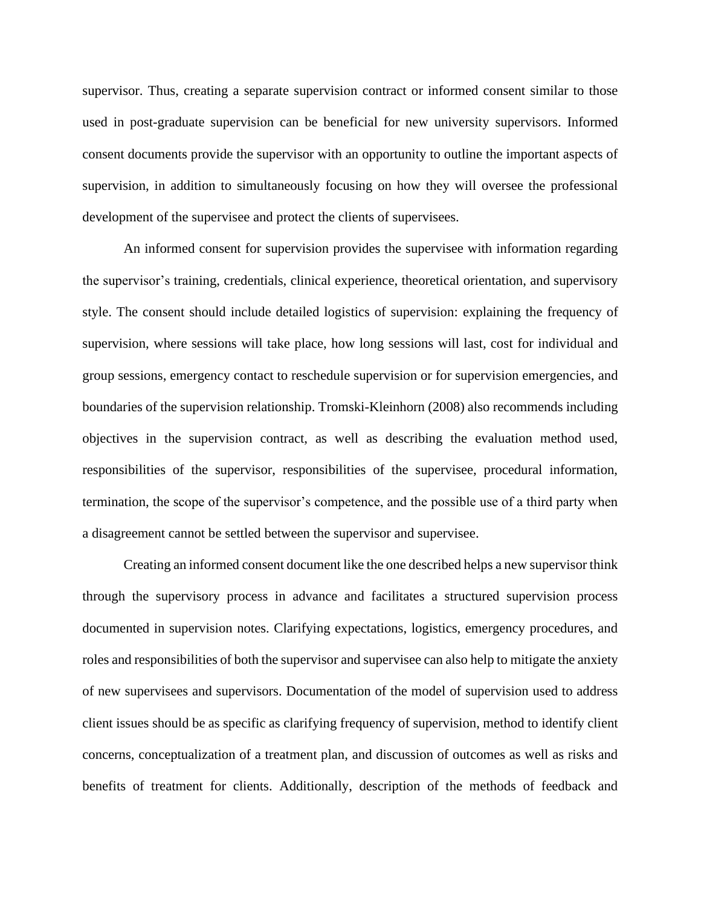supervisor. Thus, creating a separate supervision contract or informed consent similar to those used in post-graduate supervision can be beneficial for new university supervisors. Informed consent documents provide the supervisor with an opportunity to outline the important aspects of supervision, in addition to simultaneously focusing on how they will oversee the professional development of the supervisee and protect the clients of supervisees.

An informed consent for supervision provides the supervisee with information regarding the supervisor's training, credentials, clinical experience, theoretical orientation, and supervisory style. The consent should include detailed logistics of supervision: explaining the frequency of supervision, where sessions will take place, how long sessions will last, cost for individual and group sessions, emergency contact to reschedule supervision or for supervision emergencies, and boundaries of the supervision relationship. Tromski-Kleinhorn (2008) also recommends including objectives in the supervision contract, as well as describing the evaluation method used, responsibilities of the supervisor, responsibilities of the supervisee, procedural information, termination, the scope of the supervisor's competence, and the possible use of a third party when a disagreement cannot be settled between the supervisor and supervisee.

Creating an informed consent document like the one described helps a new supervisor think through the supervisory process in advance and facilitates a structured supervision process documented in supervision notes. Clarifying expectations, logistics, emergency procedures, and roles and responsibilities of both the supervisor and supervisee can also help to mitigate the anxiety of new supervisees and supervisors. Documentation of the model of supervision used to address client issues should be as specific as clarifying frequency of supervision, method to identify client concerns, conceptualization of a treatment plan, and discussion of outcomes as well as risks and benefits of treatment for clients. Additionally, description of the methods of feedback and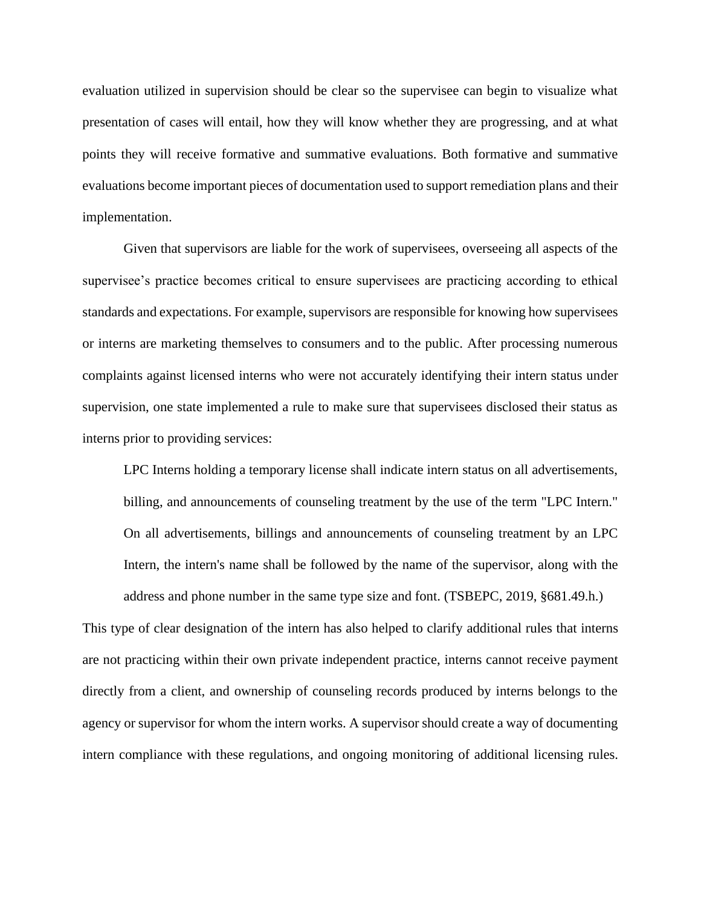evaluation utilized in supervision should be clear so the supervisee can begin to visualize what presentation of cases will entail, how they will know whether they are progressing, and at what points they will receive formative and summative evaluations. Both formative and summative evaluations become important pieces of documentation used to support remediation plans and their implementation.

Given that supervisors are liable for the work of supervisees, overseeing all aspects of the supervisee's practice becomes critical to ensure supervisees are practicing according to ethical standards and expectations. For example, supervisors are responsible for knowing how supervisees or interns are marketing themselves to consumers and to the public. After processing numerous complaints against licensed interns who were not accurately identifying their intern status under supervision, one state implemented a rule to make sure that supervisees disclosed their status as interns prior to providing services:

LPC Interns holding a temporary license shall indicate intern status on all advertisements, billing, and announcements of counseling treatment by the use of the term "LPC Intern." On all advertisements, billings and announcements of counseling treatment by an LPC Intern, the intern's name shall be followed by the name of the supervisor, along with the address and phone number in the same type size and font. (TSBEPC, 2019, §681.49.h.)

This type of clear designation of the intern has also helped to clarify additional rules that interns are not practicing within their own private independent practice, interns cannot receive payment directly from a client, and ownership of counseling records produced by interns belongs to the agency or supervisor for whom the intern works. A supervisor should create a way of documenting intern compliance with these regulations, and ongoing monitoring of additional licensing rules.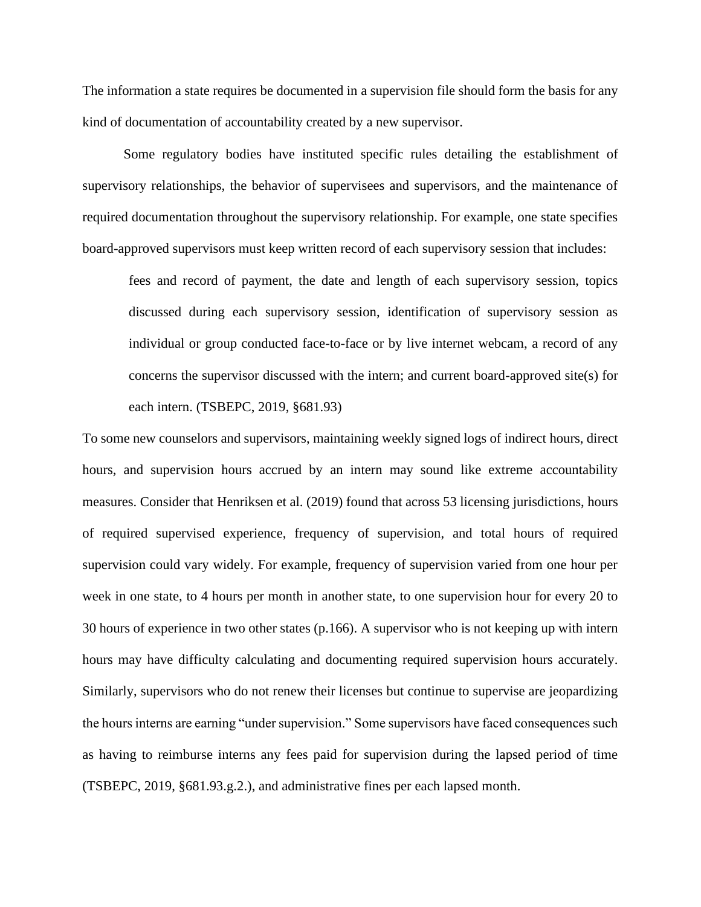The information a state requires be documented in a supervision file should form the basis for any kind of documentation of accountability created by a new supervisor.

Some regulatory bodies have instituted specific rules detailing the establishment of supervisory relationships, the behavior of supervisees and supervisors, and the maintenance of required documentation throughout the supervisory relationship. For example, one state specifies board-approved supervisors must keep written record of each supervisory session that includes:

fees and record of payment, the date and length of each supervisory session, topics discussed during each supervisory session, identification of supervisory session as individual or group conducted face-to-face or by live internet webcam, a record of any concerns the supervisor discussed with the intern; and current board-approved site(s) for each intern. (TSBEPC, 2019, §681.93)

To some new counselors and supervisors, maintaining weekly signed logs of indirect hours, direct hours, and supervision hours accrued by an intern may sound like extreme accountability measures. Consider that Henriksen et al. (2019) found that across 53 licensing jurisdictions, hours of required supervised experience, frequency of supervision, and total hours of required supervision could vary widely. For example, frequency of supervision varied from one hour per week in one state, to 4 hours per month in another state, to one supervision hour for every 20 to 30 hours of experience in two other states (p.166). A supervisor who is not keeping up with intern hours may have difficulty calculating and documenting required supervision hours accurately. Similarly, supervisors who do not renew their licenses but continue to supervise are jeopardizing the hours interns are earning "under supervision." Some supervisors have faced consequences such as having to reimburse interns any fees paid for supervision during the lapsed period of time (TSBEPC, 2019, §681.93.g.2.), and administrative fines per each lapsed month.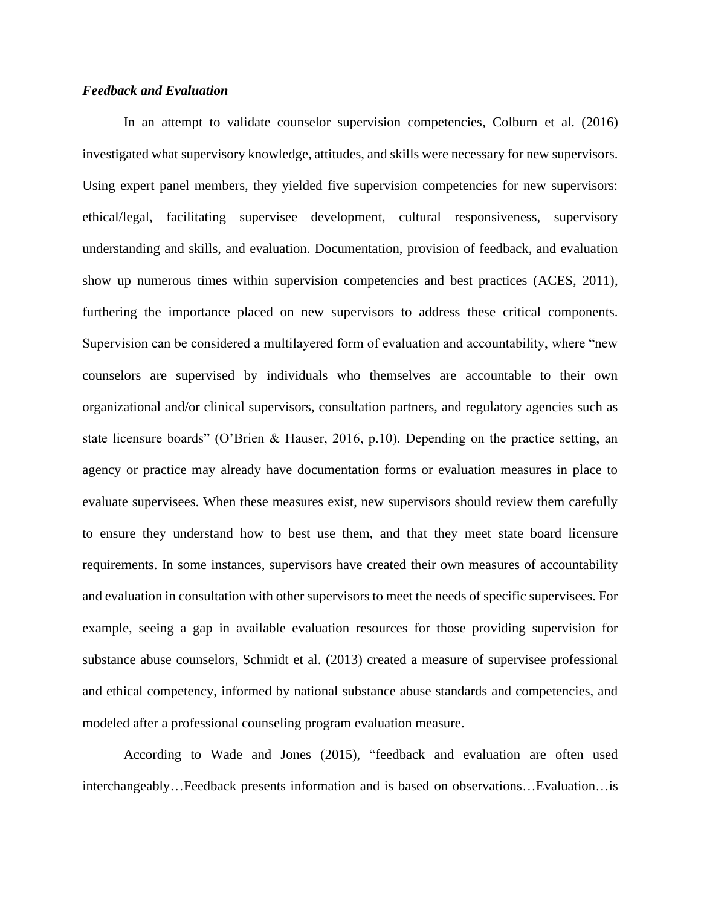## *Feedback and Evaluation*

In an attempt to validate counselor supervision competencies, Colburn et al. (2016) investigated what supervisory knowledge, attitudes, and skills were necessary for new supervisors. Using expert panel members, they yielded five supervision competencies for new supervisors: ethical/legal, facilitating supervisee development, cultural responsiveness, supervisory understanding and skills, and evaluation. Documentation, provision of feedback, and evaluation show up numerous times within supervision competencies and best practices (ACES, 2011), furthering the importance placed on new supervisors to address these critical components. Supervision can be considered a multilayered form of evaluation and accountability, where "new counselors are supervised by individuals who themselves are accountable to their own organizational and/or clinical supervisors, consultation partners, and regulatory agencies such as state licensure boards" (O'Brien & Hauser, 2016, p.10). Depending on the practice setting, an agency or practice may already have documentation forms or evaluation measures in place to evaluate supervisees. When these measures exist, new supervisors should review them carefully to ensure they understand how to best use them, and that they meet state board licensure requirements. In some instances, supervisors have created their own measures of accountability and evaluation in consultation with other supervisors to meet the needs of specific supervisees. For example, seeing a gap in available evaluation resources for those providing supervision for substance abuse counselors, Schmidt et al. (2013) created a measure of supervisee professional and ethical competency, informed by national substance abuse standards and competencies, and modeled after a professional counseling program evaluation measure.

According to Wade and Jones (2015), "feedback and evaluation are often used interchangeably…Feedback presents information and is based on observations…Evaluation…is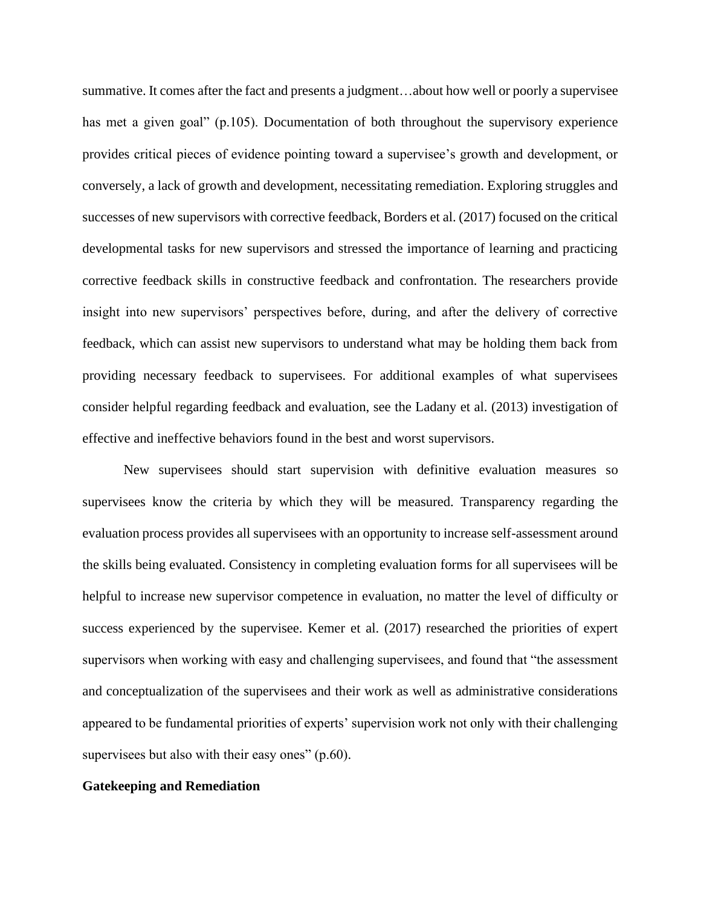summative. It comes after the fact and presents a judgment…about how well or poorly a supervisee has met a given goal" (p.105). Documentation of both throughout the supervisory experience provides critical pieces of evidence pointing toward a supervisee's growth and development, or conversely, a lack of growth and development, necessitating remediation. Exploring struggles and successes of new supervisors with corrective feedback, Borders et al. (2017) focused on the critical developmental tasks for new supervisors and stressed the importance of learning and practicing corrective feedback skills in constructive feedback and confrontation. The researchers provide insight into new supervisors' perspectives before, during, and after the delivery of corrective feedback, which can assist new supervisors to understand what may be holding them back from providing necessary feedback to supervisees. For additional examples of what supervisees consider helpful regarding feedback and evaluation, see the Ladany et al. (2013) investigation of effective and ineffective behaviors found in the best and worst supervisors.

New supervisees should start supervision with definitive evaluation measures so supervisees know the criteria by which they will be measured. Transparency regarding the evaluation process provides all supervisees with an opportunity to increase self-assessment around the skills being evaluated. Consistency in completing evaluation forms for all supervisees will be helpful to increase new supervisor competence in evaluation, no matter the level of difficulty or success experienced by the supervisee. Kemer et al. (2017) researched the priorities of expert supervisors when working with easy and challenging supervisees, and found that "the assessment and conceptualization of the supervisees and their work as well as administrative considerations appeared to be fundamental priorities of experts' supervision work not only with their challenging supervisees but also with their easy ones" (p.60).

## **Gatekeeping and Remediation**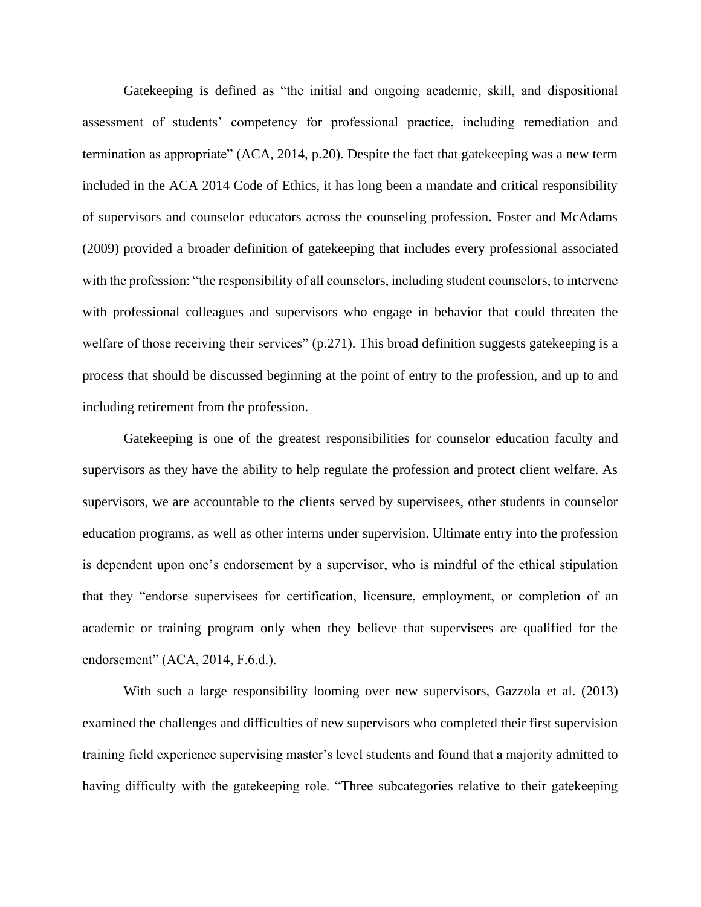Gatekeeping is defined as "the initial and ongoing academic, skill, and dispositional assessment of students' competency for professional practice, including remediation and termination as appropriate" (ACA, 2014, p.20). Despite the fact that gatekeeping was a new term included in the ACA 2014 Code of Ethics, it has long been a mandate and critical responsibility of supervisors and counselor educators across the counseling profession. Foster and McAdams (2009) provided a broader definition of gatekeeping that includes every professional associated with the profession: "the responsibility of all counselors, including student counselors, to intervene with professional colleagues and supervisors who engage in behavior that could threaten the welfare of those receiving their services" (p.271). This broad definition suggests gatekeeping is a process that should be discussed beginning at the point of entry to the profession, and up to and including retirement from the profession.

Gatekeeping is one of the greatest responsibilities for counselor education faculty and supervisors as they have the ability to help regulate the profession and protect client welfare. As supervisors, we are accountable to the clients served by supervisees, other students in counselor education programs, as well as other interns under supervision. Ultimate entry into the profession is dependent upon one's endorsement by a supervisor, who is mindful of the ethical stipulation that they "endorse supervisees for certification, licensure, employment, or completion of an academic or training program only when they believe that supervisees are qualified for the endorsement" (ACA, 2014, F.6.d.).

With such a large responsibility looming over new supervisors, Gazzola et al. (2013) examined the challenges and difficulties of new supervisors who completed their first supervision training field experience supervising master's level students and found that a majority admitted to having difficulty with the gatekeeping role. "Three subcategories relative to their gatekeeping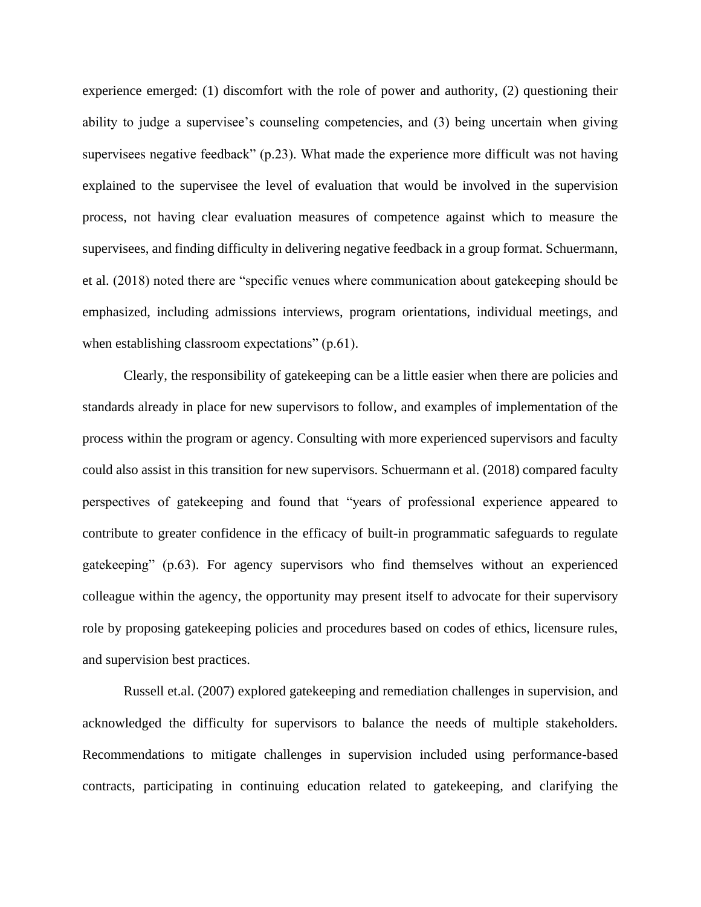experience emerged: (1) discomfort with the role of power and authority, (2) questioning their ability to judge a supervisee's counseling competencies, and (3) being uncertain when giving supervisees negative feedback" (p.23). What made the experience more difficult was not having explained to the supervisee the level of evaluation that would be involved in the supervision process, not having clear evaluation measures of competence against which to measure the supervisees, and finding difficulty in delivering negative feedback in a group format. Schuermann, et al. (2018) noted there are "specific venues where communication about gatekeeping should be emphasized, including admissions interviews, program orientations, individual meetings, and when establishing classroom expectations" (p.61).

Clearly, the responsibility of gatekeeping can be a little easier when there are policies and standards already in place for new supervisors to follow, and examples of implementation of the process within the program or agency. Consulting with more experienced supervisors and faculty could also assist in this transition for new supervisors. Schuermann et al. (2018) compared faculty perspectives of gatekeeping and found that "years of professional experience appeared to contribute to greater confidence in the efficacy of built-in programmatic safeguards to regulate gatekeeping" (p.63). For agency supervisors who find themselves without an experienced colleague within the agency, the opportunity may present itself to advocate for their supervisory role by proposing gatekeeping policies and procedures based on codes of ethics, licensure rules, and supervision best practices.

Russell et.al. (2007) explored gatekeeping and remediation challenges in supervision, and acknowledged the difficulty for supervisors to balance the needs of multiple stakeholders. Recommendations to mitigate challenges in supervision included using performance-based contracts, participating in continuing education related to gatekeeping, and clarifying the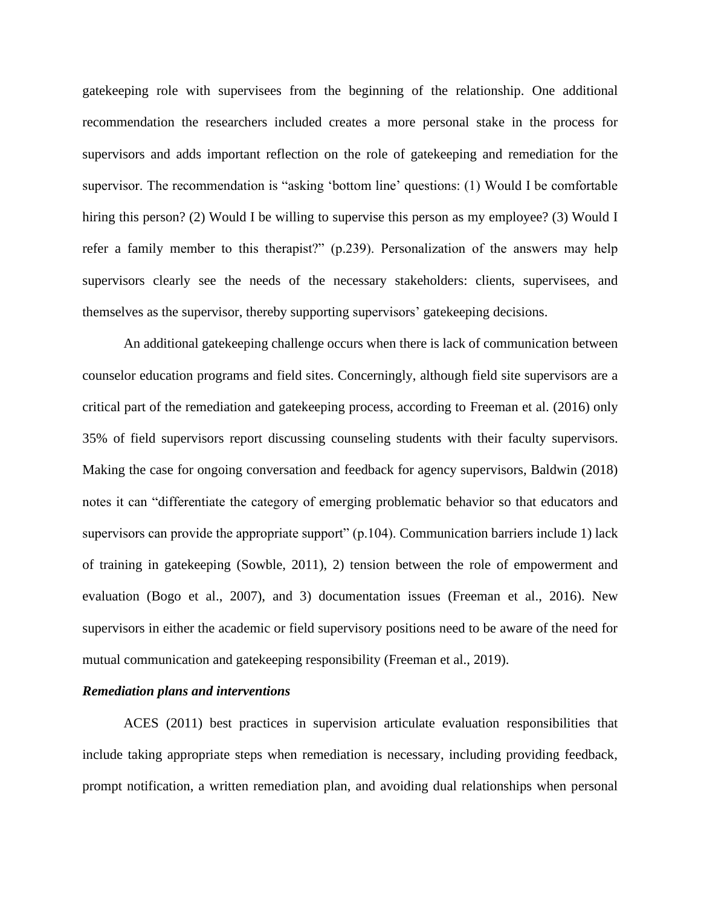gatekeeping role with supervisees from the beginning of the relationship. One additional recommendation the researchers included creates a more personal stake in the process for supervisors and adds important reflection on the role of gatekeeping and remediation for the supervisor. The recommendation is "asking 'bottom line' questions: (1) Would I be comfortable hiring this person? (2) Would I be willing to supervise this person as my employee? (3) Would I refer a family member to this therapist?" (p.239). Personalization of the answers may help supervisors clearly see the needs of the necessary stakeholders: clients, supervisees, and themselves as the supervisor, thereby supporting supervisors' gatekeeping decisions.

An additional gatekeeping challenge occurs when there is lack of communication between counselor education programs and field sites. Concerningly, although field site supervisors are a critical part of the remediation and gatekeeping process, according to Freeman et al. (2016) only 35% of field supervisors report discussing counseling students with their faculty supervisors. Making the case for ongoing conversation and feedback for agency supervisors, Baldwin (2018) notes it can "differentiate the category of emerging problematic behavior so that educators and supervisors can provide the appropriate support" (p.104). Communication barriers include 1) lack of training in gatekeeping (Sowble, 2011), 2) tension between the role of empowerment and evaluation (Bogo et al., 2007), and 3) documentation issues (Freeman et al., 2016). New supervisors in either the academic or field supervisory positions need to be aware of the need for mutual communication and gatekeeping responsibility (Freeman et al., 2019).

#### *Remediation plans and interventions*

ACES (2011) best practices in supervision articulate evaluation responsibilities that include taking appropriate steps when remediation is necessary, including providing feedback, prompt notification, a written remediation plan, and avoiding dual relationships when personal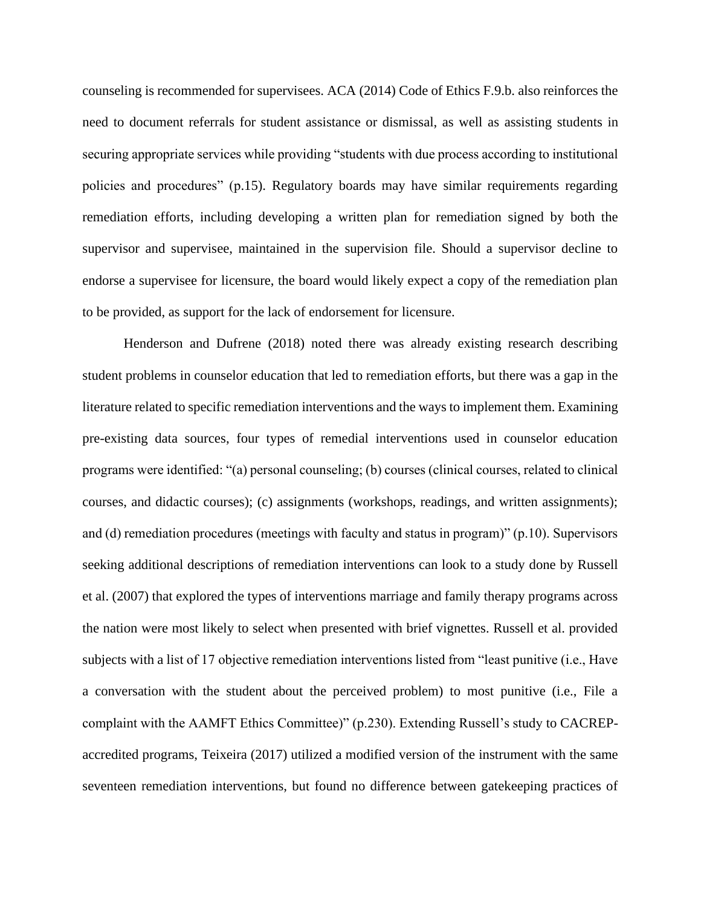counseling is recommended for supervisees. ACA (2014) Code of Ethics F.9.b. also reinforces the need to document referrals for student assistance or dismissal, as well as assisting students in securing appropriate services while providing "students with due process according to institutional policies and procedures" (p.15). Regulatory boards may have similar requirements regarding remediation efforts, including developing a written plan for remediation signed by both the supervisor and supervisee, maintained in the supervision file. Should a supervisor decline to endorse a supervisee for licensure, the board would likely expect a copy of the remediation plan to be provided, as support for the lack of endorsement for licensure.

Henderson and Dufrene (2018) noted there was already existing research describing student problems in counselor education that led to remediation efforts, but there was a gap in the literature related to specific remediation interventions and the ways to implement them. Examining pre-existing data sources, four types of remedial interventions used in counselor education programs were identified: "(a) personal counseling; (b) courses (clinical courses, related to clinical courses, and didactic courses); (c) assignments (workshops, readings, and written assignments); and (d) remediation procedures (meetings with faculty and status in program)" (p.10). Supervisors seeking additional descriptions of remediation interventions can look to a study done by Russell et al. (2007) that explored the types of interventions marriage and family therapy programs across the nation were most likely to select when presented with brief vignettes. Russell et al. provided subjects with a list of 17 objective remediation interventions listed from "least punitive (i.e., Have a conversation with the student about the perceived problem) to most punitive (i.e., File a complaint with the AAMFT Ethics Committee)" (p.230). Extending Russell's study to CACREPaccredited programs, Teixeira (2017) utilized a modified version of the instrument with the same seventeen remediation interventions, but found no difference between gatekeeping practices of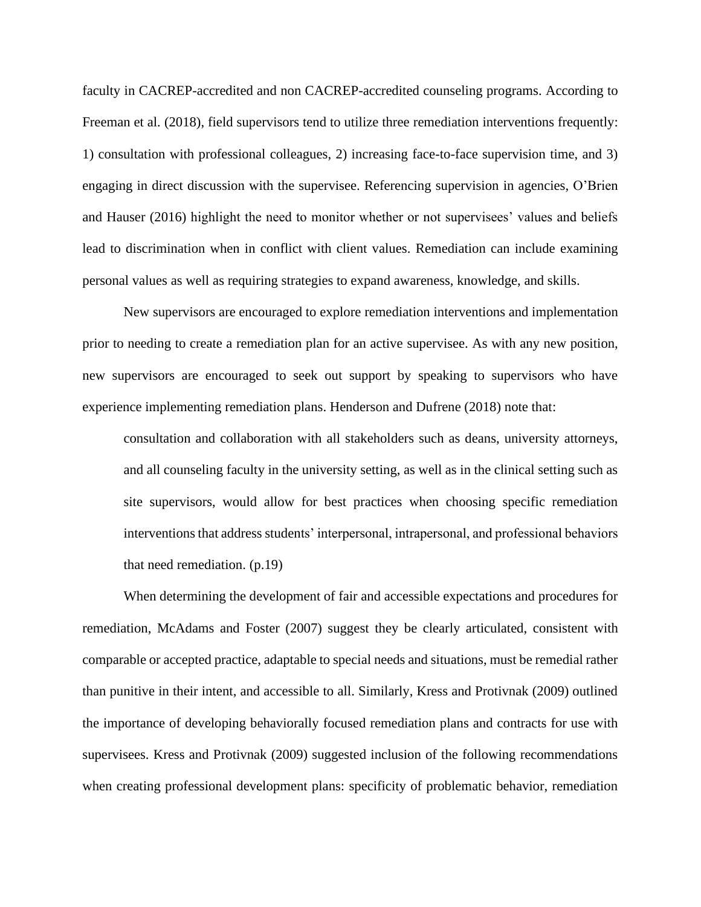faculty in CACREP-accredited and non CACREP-accredited counseling programs. According to Freeman et al. (2018), field supervisors tend to utilize three remediation interventions frequently: 1) consultation with professional colleagues, 2) increasing face-to-face supervision time, and 3) engaging in direct discussion with the supervisee. Referencing supervision in agencies, O'Brien and Hauser (2016) highlight the need to monitor whether or not supervisees' values and beliefs lead to discrimination when in conflict with client values. Remediation can include examining personal values as well as requiring strategies to expand awareness, knowledge, and skills.

New supervisors are encouraged to explore remediation interventions and implementation prior to needing to create a remediation plan for an active supervisee. As with any new position, new supervisors are encouraged to seek out support by speaking to supervisors who have experience implementing remediation plans. Henderson and Dufrene (2018) note that:

consultation and collaboration with all stakeholders such as deans, university attorneys, and all counseling faculty in the university setting, as well as in the clinical setting such as site supervisors, would allow for best practices when choosing specific remediation interventions that address students' interpersonal, intrapersonal, and professional behaviors that need remediation. (p.19)

When determining the development of fair and accessible expectations and procedures for remediation, McAdams and Foster (2007) suggest they be clearly articulated, consistent with comparable or accepted practice, adaptable to special needs and situations, must be remedial rather than punitive in their intent, and accessible to all. Similarly, Kress and Protivnak (2009) outlined the importance of developing behaviorally focused remediation plans and contracts for use with supervisees. Kress and Protivnak (2009) suggested inclusion of the following recommendations when creating professional development plans: specificity of problematic behavior, remediation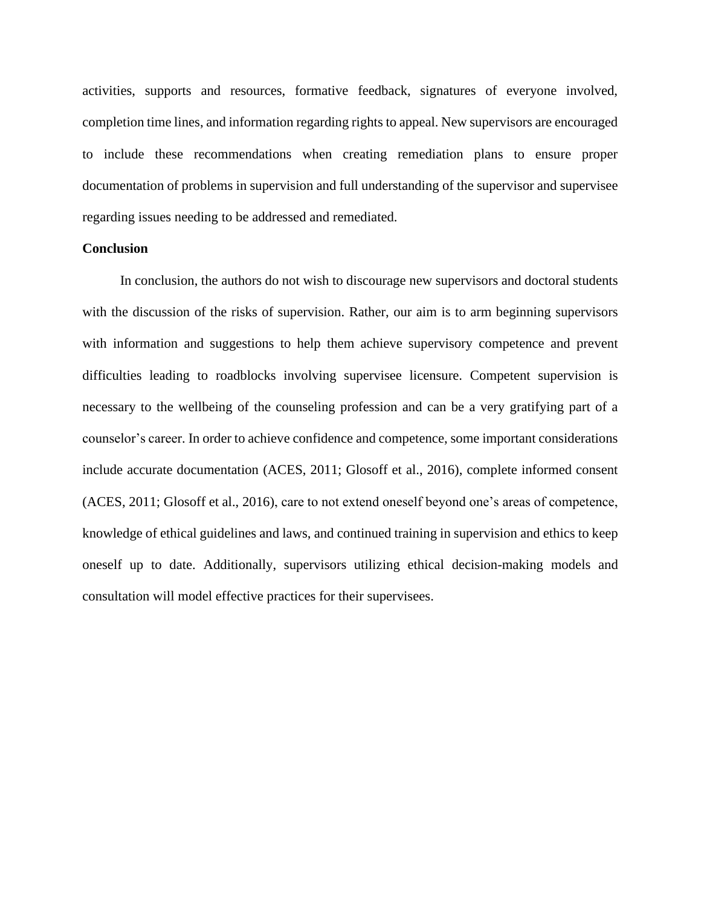activities, supports and resources, formative feedback, signatures of everyone involved, completion time lines, and information regarding rights to appeal. New supervisors are encouraged to include these recommendations when creating remediation plans to ensure proper documentation of problems in supervision and full understanding of the supervisor and supervisee regarding issues needing to be addressed and remediated.

#### **Conclusion**

 In conclusion, the authors do not wish to discourage new supervisors and doctoral students with the discussion of the risks of supervision. Rather, our aim is to arm beginning supervisors with information and suggestions to help them achieve supervisory competence and prevent difficulties leading to roadblocks involving supervisee licensure. Competent supervision is necessary to the wellbeing of the counseling profession and can be a very gratifying part of a counselor's career. In order to achieve confidence and competence, some important considerations include accurate documentation (ACES, 2011; Glosoff et al., 2016), complete informed consent (ACES, 2011; Glosoff et al., 2016), care to not extend oneself beyond one's areas of competence, knowledge of ethical guidelines and laws, and continued training in supervision and ethics to keep oneself up to date. Additionally, supervisors utilizing ethical decision-making models and consultation will model effective practices for their supervisees.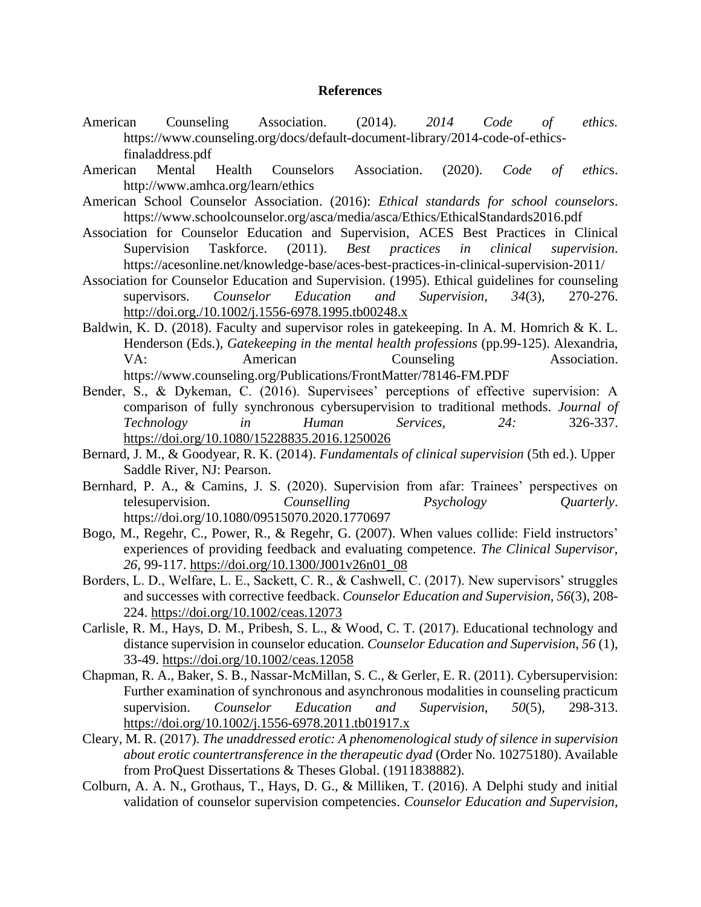#### **References**

- American Counseling Association. (2014). *2014 Code of ethics.*  https://www.counseling.org/docs/default-document-library/2014-code-of-ethicsfinaladdress.pdf
- American Mental Health Counselors Association. (2020). *Code of ethic*s. http://www.amhca.org/learn/ethics
- American School Counselor Association. (2016): *Ethical standards for school counselors*. https://www.schoolcounselor.org/asca/media/asca/Ethics/EthicalStandards2016.pdf
- Association for Counselor Education and Supervision, ACES Best Practices in Clinical Supervision Taskforce. (2011). *Best practices in clinical supervision*. https://acesonline.net/knowledge-base/aces-best-practices-in-clinical-supervision-2011/
- Association for Counselor Education and Supervision. (1995). Ethical guidelines for counseling supervisors. *Counselor Education and Supervision, 34*(3), 270-276. <http://doi.org./10.1002/j.1556-6978.1995.tb00248.x>
- Baldwin, K. D. (2018). Faculty and supervisor roles in gatekeeping. In A. M. Homrich & K. L. Henderson (Eds.), *Gatekeeping in the mental health professions* (pp.99-125). Alexandria, VA: American Counseling Association. https://www.counseling.org/Publications/FrontMatter/78146-FM.PDF
- Bender, S., & Dykeman, C. (2016). Supervisees' perceptions of effective supervision: A comparison of fully synchronous cybersupervision to traditional methods. *Journal of Technology in Human Services, 24:* 326-337. <https://doi.org/10.1080/15228835.2016.1250026>
- Bernard, J. M., & Goodyear, R. K. (2014). *Fundamentals of clinical supervision* (5th ed.). Upper Saddle River, NJ: Pearson.
- Bernhard, P. A., & Camins, J. S. (2020). Supervision from afar: Trainees' perspectives on telesupervision. *Counselling Psychology Quarterly*. https://doi.org/10.1080/09515070.2020.1770697
- Bogo, M., Regehr, C., Power, R., & Regehr, G. (2007). When values collide: Field instructors' experiences of providing feedback and evaluating competence. *The Clinical Supervisor, 26,* 99-117. [https://doi.org/10.1300/J001v26n01\\_08](https://doi.org/10.1300/J001v26n01_08)
- Borders, L. D., Welfare, L. E., Sackett, C. R., & Cashwell, C. (2017). New supervisors' struggles and successes with corrective feedback. *Counselor Education and Supervision, 56*(3), 208- 224. <https://doi.org/10.1002/ceas.12073>
- Carlisle, R. M., Hays, D. M., Pribesh, S. L., & Wood, C. T. (2017). Educational technology and distance supervision in counselor education. *Counselor Education and Supervision, 56* (1), 33-49. <https://doi.org/10.1002/ceas.12058>
- Chapman, R. A., Baker, S. B., Nassar-McMillan, S. C., & Gerler, E. R. (2011). Cybersupervision: Further examination of synchronous and asynchronous modalities in counseling practicum supervision. *Counselor Education and Supervision, 50*(5), 298-313. <https://doi.org/10.1002/j.1556-6978.2011.tb01917.x>
- Cleary, M. R. (2017). *The unaddressed erotic: A phenomenological study of silence in supervision about erotic countertransference in the therapeutic dyad* (Order No. 10275180). Available from ProQuest Dissertations & Theses Global. (1911838882).
- Colburn, A. A. N., Grothaus, T., Hays, D. G., & Milliken, T. (2016). A Delphi study and initial validation of counselor supervision competencies. *Counselor Education and Supervision,*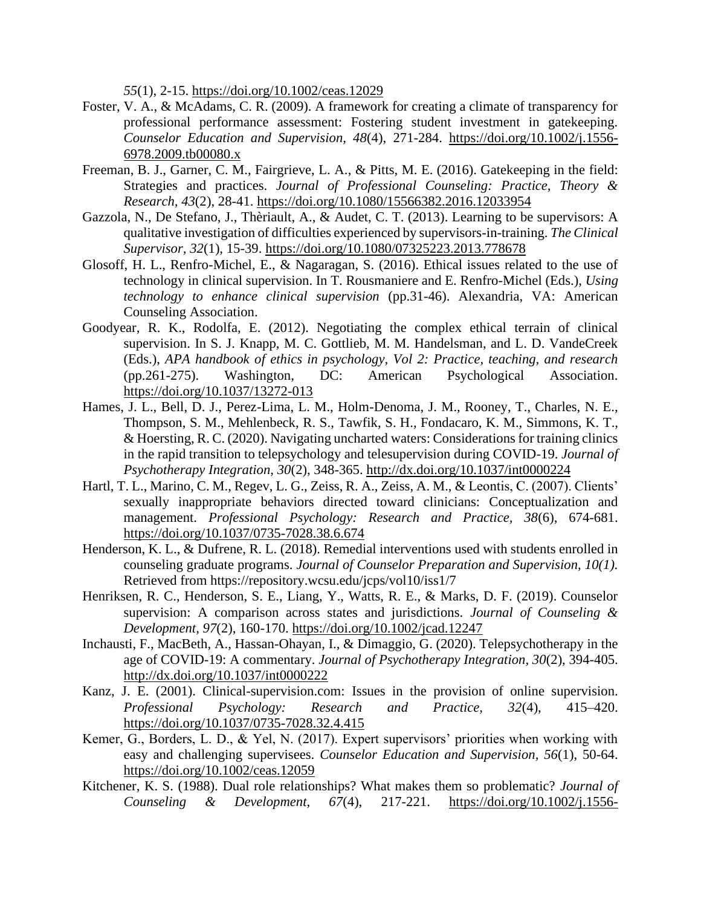*55*(1), 2-15. <https://doi.org/10.1002/ceas.12029>

- Foster, V. A., & McAdams, C. R. (2009). A framework for creating a climate of transparency for professional performance assessment: Fostering student investment in gatekeeping. *Counselor Education and Supervision, 48*(4), 271-284. [https://doi.org/10.1002/j.1556-](https://doi.org/10.1002/j.1556-6978.2009.tb00080.x) [6978.2009.tb00080.x](https://doi.org/10.1002/j.1556-6978.2009.tb00080.x)
- Freeman, B. J., Garner, C. M., Fairgrieve, L. A., & Pitts, M. E. (2016). Gatekeeping in the field: Strategies and practices. *Journal of Professional Counseling: Practice, Theory & Research, 43*(2), 28-41.<https://doi.org/10.1080/15566382.2016.12033954>
- Gazzola, N., De Stefano, J., Thèriault, A., & Audet, C. T. (2013). Learning to be supervisors: A qualitative investigation of difficulties experienced by supervisors-in-training. *The Clinical Supervisor, 32*(1), 15-39.<https://doi.org/10.1080/07325223.2013.778678>
- Glosoff, H. L., Renfro-Michel, E., & Nagaragan, S. (2016). Ethical issues related to the use of technology in clinical supervision. In T. Rousmaniere and E. Renfro-Michel (Eds.), *Using technology to enhance clinical supervision* (pp.31-46). Alexandria, VA: American Counseling Association.
- Goodyear, R. K., Rodolfa, E. (2012). Negotiating the complex ethical terrain of clinical supervision. In S. J. Knapp, M. C. Gottlieb, M. M. Handelsman, and L. D. VandeCreek (Eds.), *APA handbook of ethics in psychology, Vol 2: Practice, teaching, and research*  (pp.261-275). Washington, DC: American Psychological Association. <https://doi.org/10.1037/13272-013>
- Hames, J. L., Bell, D. J., Perez-Lima, L. M., Holm-Denoma, J. M., Rooney, T., Charles, N. E., Thompson, S. M., Mehlenbeck, R. S., Tawfik, S. H., Fondacaro, K. M., Simmons, K. T., & Hoersting, R. C. (2020). Navigating uncharted waters: Considerations for training clinics in the rapid transition to telepsychology and telesupervision during COVID-19. *Journal of Psychotherapy Integration, 30*(2), 348-365.<http://dx.doi.org/10.1037/int0000224>
- Hartl, T. L., Marino, C. M., Regev, L. G., Zeiss, R. A., Zeiss, A. M., & Leontis, C. (2007). Clients' sexually inappropriate behaviors directed toward clinicians: Conceptualization and management. *Professional Psychology: Research and Practice, 38*(6), 674-681. <https://doi.org/10.1037/0735-7028.38.6.674>
- Henderson, K. L., & Dufrene, R. L. (2018). Remedial interventions used with students enrolled in counseling graduate programs. *Journal of Counselor Preparation and Supervision, 10(1).*  Retrieved from https://repository.wcsu.edu/jcps/vol10/iss1/7
- Henriksen, R. C., Henderson, S. E., Liang, Y., Watts, R. E., & Marks, D. F. (2019). Counselor supervision: A comparison across states and jurisdictions. *Journal of Counseling & Development, 97*(2), 160-170.<https://doi.org/10.1002/jcad.12247>
- Inchausti, F., MacBeth, A., Hassan-Ohayan, I., & Dimaggio, G. (2020). Telepsychotherapy in the age of COVID-19: A commentary. *Journal of Psychotherapy Integration, 30*(2), 394-405. <http://dx.doi.org/10.1037/int0000222>
- Kanz, J. E. (2001). Clinical-supervision.com: Issues in the provision of online supervision. *Professional Psychology: Research and Practice, 32*(4), 415–420. <https://doi.org/10.1037/0735-7028.32.4.415>
- Kemer, G., Borders, L. D., & Yel, N. (2017). Expert supervisors' priorities when working with easy and challenging supervisees. *Counselor Education and Supervision, 56*(1), 50-64. <https://doi.org/10.1002/ceas.12059>
- Kitchener, K. S. (1988). Dual role relationships? What makes them so problematic? *Journal of Counseling & Development, 67*(4), 217-221. [https://doi.org/10.1002/j.1556-](https://doi.org/10.1002/j.1556-6676.1988.tb02586.x)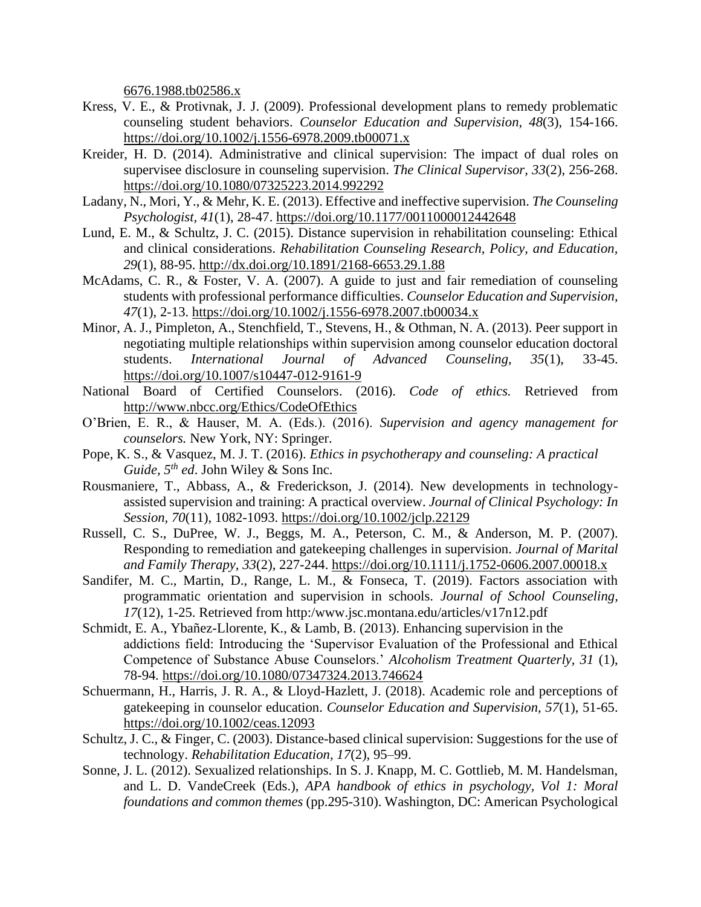[6676.1988.tb02586.x](https://doi.org/10.1002/j.1556-6676.1988.tb02586.x)

- Kress, V. E., & Protivnak, J. J. (2009). Professional development plans to remedy problematic counseling student behaviors. *Counselor Education and Supervision, 48*(3), 154-166. <https://doi.org/10.1002/j.1556-6978.2009.tb00071.x>
- Kreider, H. D. (2014). Administrative and clinical supervision: The impact of dual roles on supervisee disclosure in counseling supervision. *The Clinical Supervisor, 33*(2), 256-268. <https://doi.org/10.1080/07325223.2014.992292>
- Ladany, N., Mori, Y., & Mehr, K. E. (2013). Effective and ineffective supervision. *The Counseling Psychologist, 41*(1), 28-47.<https://doi.org/10.1177/0011000012442648>
- Lund, E. M., & Schultz, J. C. (2015). Distance supervision in rehabilitation counseling: Ethical and clinical considerations. *Rehabilitation Counseling Research, Policy, and Education, 29*(1), 88-95.<http://dx.doi.org/10.1891/2168-6653.29.1.88>
- McAdams, C. R., & Foster, V. A. (2007). A guide to just and fair remediation of counseling students with professional performance difficulties. *Counselor Education and Supervision, 47*(1), 2-13.<https://doi.org/10.1002/j.1556-6978.2007.tb00034.x>
- Minor, A. J., Pimpleton, A., Stenchfield, T., Stevens, H., & Othman, N. A. (2013). Peer support in negotiating multiple relationships within supervision among counselor education doctoral students. *International Journal of Advanced Counseling, 35*(1), 33-45. <https://doi.org/10.1007/s10447-012-9161-9>
- National Board of Certified Counselors. (2016). *Code of ethics.* Retrieved from <http://www.nbcc.org/Ethics/CodeOfEthics>
- O'Brien, E. R., & Hauser, M. A. (Eds.). (2016). *Supervision and agency management for counselors.* New York, NY: Springer.
- Pope, K. S., & Vasquez, M. J. T. (2016). *Ethics in psychotherapy and counseling: A practical Guide, 5th ed*. John Wiley & Sons Inc.
- Rousmaniere, T., Abbass, A., & Frederickson, J. (2014). New developments in technologyassisted supervision and training: A practical overview. *Journal of Clinical Psychology: In Session, 70*(11), 1082-1093.<https://doi.org/10.1002/jclp.22129>
- Russell, C. S., DuPree, W. J., Beggs, M. A., Peterson, C. M., & Anderson, M. P. (2007). Responding to remediation and gatekeeping challenges in supervision. *Journal of Marital and Family Therapy, 33*(2), 227-244.<https://doi.org/10.1111/j.1752-0606.2007.00018.x>
- Sandifer, M. C., Martin, D., Range, L. M., & Fonseca, T. (2019). Factors association with programmatic orientation and supervision in schools. *Journal of School Counseling, 17*(12), 1-25. Retrieved from http:/www.jsc.montana.edu/articles/v17n12.pdf
- Schmidt, E. A., Ybañez-Llorente, K., & Lamb, B. (2013). Enhancing supervision in the addictions field: Introducing the 'Supervisor Evaluation of the Professional and Ethical Competence of Substance Abuse Counselors.' *Alcoholism Treatment Quarterly, 31* (1), 78-94*.* <https://doi.org/10.1080/07347324.2013.746624>
- Schuermann, H., Harris, J. R. A., & Lloyd-Hazlett, J. (2018). Academic role and perceptions of gatekeeping in counselor education. *Counselor Education and Supervision, 57*(1), 51-65. <https://doi.org/10.1002/ceas.12093>
- Schultz, J. C., & Finger, C. (2003). Distance-based clinical supervision: Suggestions for the use of technology. *Rehabilitation Education, 17*(2), 95–99.
- Sonne, J. L. (2012). Sexualized relationships. In S. J. Knapp, M. C. Gottlieb, M. M. Handelsman, and L. D. VandeCreek (Eds.), *APA handbook of ethics in psychology, Vol 1: Moral foundations and common themes* (pp.295-310). Washington, DC: American Psychological